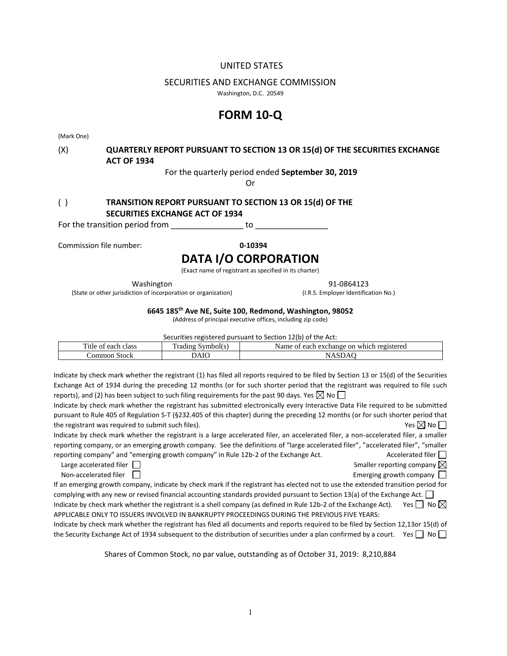# UNITED STATES

# SECURITIES AND EXCHANGE COMMISSION

Washington, D.C. 20549

# **FORM 10-Q**

(Mark One)

# (X) **QUARTERLY REPORT PURSUANT TO SECTION 13 OR 15(d) OF THE SECURITIES EXCHANGE ACT OF 1934**

For the quarterly period ended **September 30, 2019**

Or

# ( ) **TRANSITION REPORT PURSUANT TO SECTION 13 OR 15(d) OF THE SECURITIES EXCHANGE ACT OF 1934**

For the transition period from The control of to  $\sim$ 

Commission file number: **0-10394**

# **DATA I/O CORPORATION**

(Exact name of registrant as specified in its charter)

Washington 91-0864123

(State or other jurisdiction of incorporation or organization) (I.R.S. Employer Identification No.)

**6645 185th Ave NE, Suite 100, Redmond, Washington, 98052**

(Address of principal executive offices, including zip code)

Securities registered pursuant to Section 12(b) of the Act:

| <del>. .</del><br>class<br>ritle<br>each<br>ΩŤ | $\sim$<br>$   -$<br>ı radır<br>чироп<br>11 U | Name<br>$\alpha v$<br>registered<br>on<br>.:har<br>eact<br>.പക<br>which<br>OI |
|------------------------------------------------|----------------------------------------------|-------------------------------------------------------------------------------|
| `ommon<br>Stock                                | AIC                                          |                                                                               |

Indicate by check mark whether the registrant (1) has filed all reports required to be filed by Section 13 or 15(d) of the Securities Exchange Act of 1934 during the preceding 12 months (or for such shorter period that the registrant was required to file such reports), and (2) has been subject to such filing requirements for the past 90 days. Yes  $\boxtimes$  No  $\Box$ 

Indicate by check mark whether the registrant has submitted electronically every Interactive Data File required to be submitted pursuant to Rule 405 of Regulation S-T (§232.405 of this chapter) during the preceding 12 months (or for such shorter period that the registrant was required to submit such files).  $\Box$  Yes  $\Box$  No  $\Box$ 

Indicate by check mark whether the registrant is a large accelerated filer, an accelerated filer, a non-accelerated filer, a smaller reporting company, or an emerging growth company. See the definitions of "large accelerated filer", "accelerated filer", "smaller reporting company" and "emerging growth company" in Rule 12b-2 of the Exchange Act.  $\Box$  Accelerated filer  $\Box$ 

| Large accelerated filer |  |
|-------------------------|--|
| Non-accelerated filer   |  |

Smaller reporting company  $\boxtimes$ 

Emerging growth company  $\Box$ 

If an emerging growth company, indicate by check mark if the registrant has elected not to use the extended transition period for complying with any new or revised financial accounting standards provided pursuant to Section 13(a) of the Exchange Act.  $\Box$ 

Indicate by check mark whether the registrant is a shell company (as defined in Rule 12b-2 of the Exchange Act). Yes  $\Box$  No  $\boxtimes$ APPLICABLE ONLY TO ISSUERS INVOLVED IN BANKRUPTY PROCEEDINGS DURING THE PREVIOUS FIVE YEARS:

Indicate by check mark whether the registrant has filed all documents and reports required to be filed by Section 12,13or 15(d) of the Security Exchange Act of 1934 subsequent to the distribution of securities under a plan confirmed by a court. Yes  $\Box$  No  $\Box$ 

Shares of Common Stock, no par value, outstanding as of October 31, 2019: 8,210,884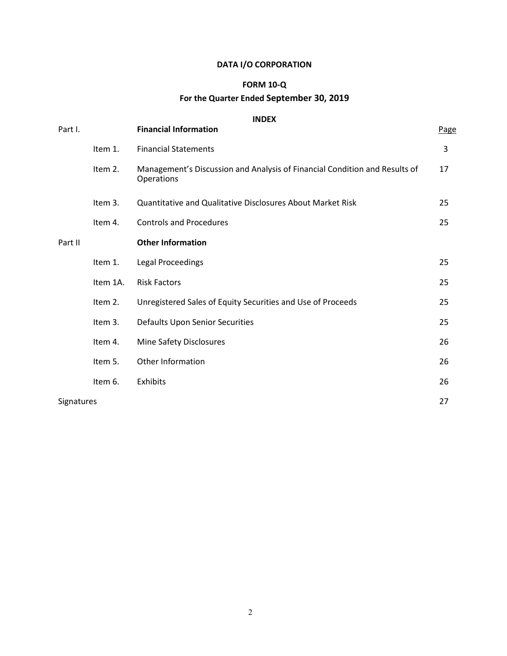# **DATA I/O CORPORATION**

# **FORM 10-Q**

# **For the Quarter Ended September 30, 2019**

# **INDEX**

| Part I.           |          | <b>Financial Information</b>                                                             | Page |
|-------------------|----------|------------------------------------------------------------------------------------------|------|
|                   | Item 1.  | <b>Financial Statements</b>                                                              | 3    |
|                   | Item 2.  | Management's Discussion and Analysis of Financial Condition and Results of<br>Operations | 17   |
|                   | Item 3.  | <b>Quantitative and Qualitative Disclosures About Market Risk</b>                        | 25   |
|                   | Item 4.  | <b>Controls and Procedures</b>                                                           | 25   |
| Part II           |          | <b>Other Information</b>                                                                 |      |
|                   | Item 1.  | <b>Legal Proceedings</b>                                                                 | 25   |
|                   | Item 1A. | <b>Risk Factors</b>                                                                      | 25   |
|                   | Item 2.  | Unregistered Sales of Equity Securities and Use of Proceeds                              | 25   |
|                   | Item 3.  | <b>Defaults Upon Senior Securities</b>                                                   | 25   |
|                   | Item 4.  | Mine Safety Disclosures                                                                  | 26   |
|                   | Item 5.  | Other Information                                                                        | 26   |
|                   | Item 6.  | Exhibits                                                                                 | 26   |
| <b>Signatures</b> |          |                                                                                          | 27   |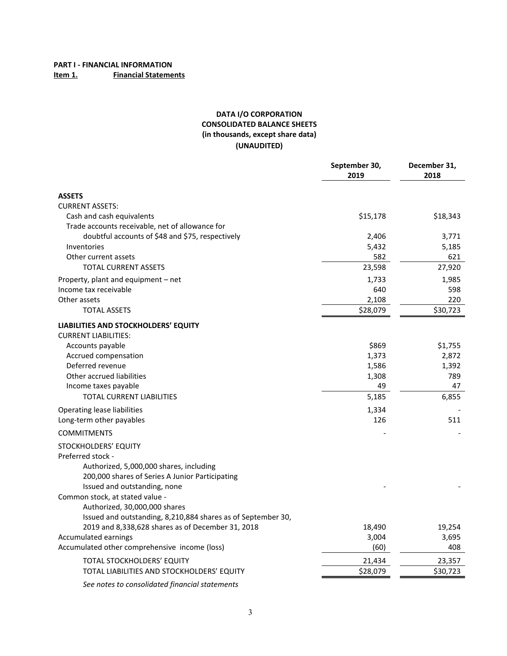# **DATA I/O CORPORATION CONSOLIDATED BALANCE SHEETS (in thousands, except share data) (UNAUDITED)**

|                                                                     | September 30,<br>2019 | December 31,<br>2018 |
|---------------------------------------------------------------------|-----------------------|----------------------|
| <b>ASSETS</b>                                                       |                       |                      |
| <b>CURRENT ASSETS:</b>                                              |                       |                      |
| Cash and cash equivalents                                           | \$15,178              | \$18,343             |
| Trade accounts receivable, net of allowance for                     |                       |                      |
| doubtful accounts of \$48 and \$75, respectively                    | 2,406                 | 3,771                |
| Inventories                                                         | 5,432                 | 5,185                |
| Other current assets                                                | 582                   | 621                  |
| <b>TOTAL CURRENT ASSETS</b>                                         | 23,598                | 27,920               |
| Property, plant and equipment – net                                 | 1,733                 | 1,985                |
| Income tax receivable                                               | 640                   | 598                  |
| Other assets                                                        | 2,108                 | 220                  |
| <b>TOTAL ASSETS</b>                                                 | \$28,079              | \$30,723             |
| LIABILITIES AND STOCKHOLDERS' EQUITY<br><b>CURRENT LIABILITIES:</b> |                       |                      |
| Accounts payable                                                    | \$869                 | \$1,755              |
| Accrued compensation                                                | 1,373                 | 2,872                |
| Deferred revenue                                                    | 1,586                 | 1,392                |
| Other accrued liabilities                                           | 1,308                 | 789                  |
| Income taxes payable                                                | 49                    | 47                   |
| <b>TOTAL CURRENT LIABILITIES</b>                                    | 5,185                 | 6,855                |
| Operating lease liabilities                                         | 1,334                 |                      |
| Long-term other payables                                            | 126                   | 511                  |
| <b>COMMITMENTS</b>                                                  |                       |                      |
| STOCKHOLDERS' EQUITY                                                |                       |                      |
| Preferred stock -                                                   |                       |                      |
| Authorized, 5,000,000 shares, including                             |                       |                      |
| 200,000 shares of Series A Junior Participating                     |                       |                      |
| Issued and outstanding, none                                        |                       |                      |
| Common stock, at stated value -                                     |                       |                      |
| Authorized, 30,000,000 shares                                       |                       |                      |
| Issued and outstanding, 8,210,884 shares as of September 30,        |                       |                      |
| 2019 and 8,338,628 shares as of December 31, 2018                   | 18,490                | 19,254               |
| <b>Accumulated earnings</b>                                         | 3,004                 | 3,695                |
| Accumulated other comprehensive income (loss)                       | (60)                  | 408                  |
| <b>TOTAL STOCKHOLDERS' EQUITY</b>                                   | 21,434                | 23,357               |
| TOTAL LIABILITIES AND STOCKHOLDERS' EQUITY                          | \$28,079              | \$30,723             |
| See notes to consolidated financial statements                      |                       |                      |

3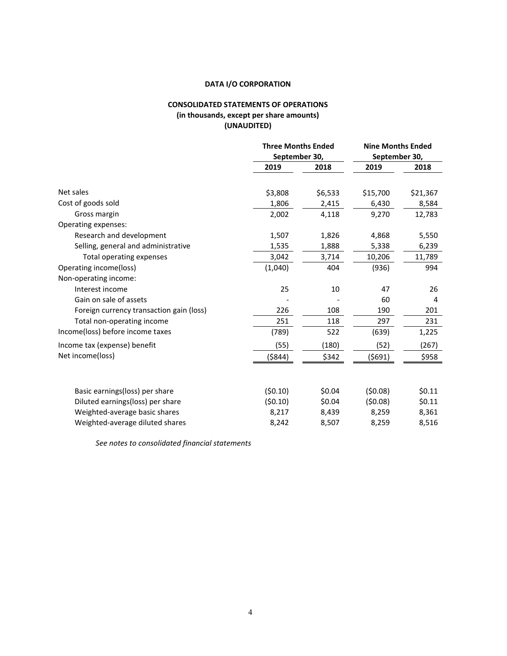# **DATA I/O CORPORATION**

# **CONSOLIDATED STATEMENTS OF OPERATIONS (in thousands, except per share amounts) (UNAUDITED)**

|                                          | <b>Three Months Ended</b><br>September 30, |         | <b>Nine Months Ended</b> |          |
|------------------------------------------|--------------------------------------------|---------|--------------------------|----------|
|                                          |                                            |         | September 30,            |          |
|                                          | 2019                                       | 2018    | 2019                     | 2018     |
| Net sales                                | \$3,808                                    | \$6,533 | \$15,700                 | \$21,367 |
| Cost of goods sold                       | 1,806                                      | 2,415   | 6,430                    | 8,584    |
| Gross margin                             | 2,002                                      | 4,118   | 9,270                    | 12,783   |
| Operating expenses:                      |                                            |         |                          |          |
| Research and development                 | 1,507                                      | 1,826   | 4,868                    | 5,550    |
| Selling, general and administrative      | 1,535                                      | 1,888   | 5,338                    | 6,239    |
| Total operating expenses                 | 3,042                                      | 3,714   | 10,206                   | 11,789   |
| Operating income(loss)                   | (1,040)                                    | 404     | (936)                    | 994      |
| Non-operating income:                    |                                            |         |                          |          |
| Interest income                          | 25                                         | 10      | 47                       | 26       |
| Gain on sale of assets                   |                                            |         | 60                       | 4        |
| Foreign currency transaction gain (loss) | 226                                        | 108     | 190                      | 201      |
| Total non-operating income               | 251                                        | 118     | 297                      | 231      |
| Income(loss) before income taxes         | (789)                                      | 522     | (639)                    | 1,225    |
| Income tax (expense) benefit             | (55)                                       | (180)   | (52)                     | (267)    |
| Net income(loss)                         | (\$844)                                    | \$342   | (\$691)                  | \$958    |
|                                          |                                            |         |                          |          |
| Basic earnings(loss) per share           | (50.10)                                    | \$0.04  | (50.08)                  | \$0.11   |
| Diluted earnings(loss) per share         | (50.10)                                    | \$0.04  | (50.08)                  | \$0.11   |
| Weighted-average basic shares            | 8,217                                      | 8,439   | 8,259                    | 8,361    |
| Weighted-average diluted shares          | 8,242                                      | 8,507   | 8,259                    | 8,516    |

*See notes to consolidated financial statements*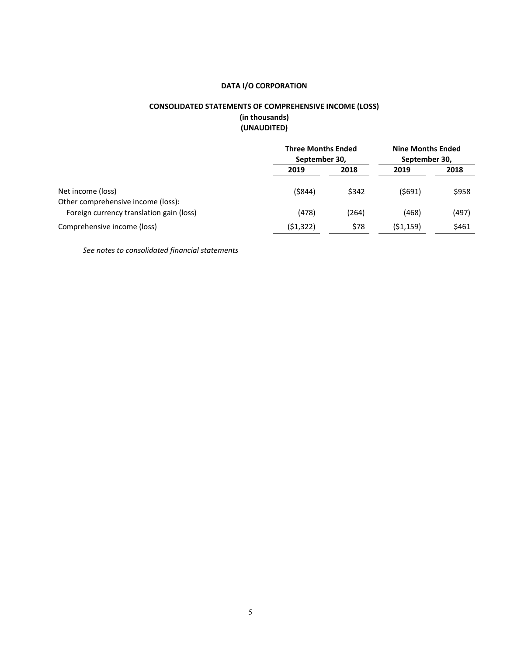# **DATA I/O CORPORATION**

# **CONSOLIDATED STATEMENTS OF COMPREHENSIVE INCOME (LOSS) (in thousands) (UNAUDITED)**

|                                                                                | <b>Three Months Ended</b><br>September 30, |       | <b>Nine Months Ended</b><br>September 30, |       |
|--------------------------------------------------------------------------------|--------------------------------------------|-------|-------------------------------------------|-------|
|                                                                                | 2019                                       | 2018  | 2019                                      | 2018  |
| Net income (loss)                                                              | (\$844)                                    | \$342 | (5691)                                    | \$958 |
| Other comprehensive income (loss):<br>Foreign currency translation gain (loss) | (478)                                      | (264) | (468)                                     | (497) |
| Comprehensive income (loss)                                                    | (\$1,322)                                  | \$78  | (\$1,159)                                 | \$461 |

*See notes to consolidated financial statements*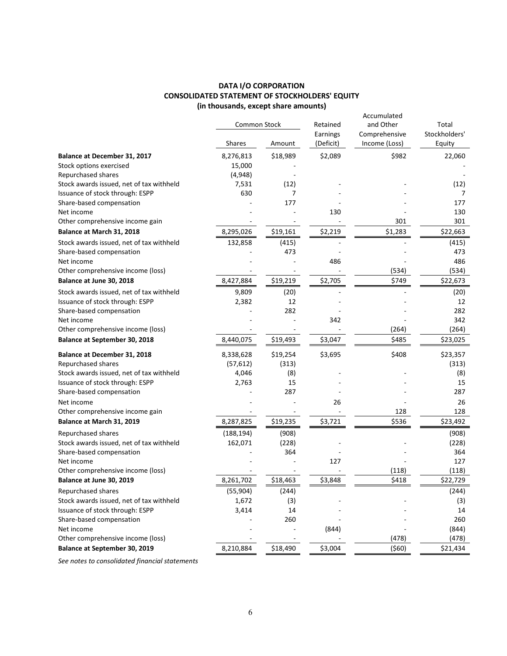# **DATA I/O CORPORATION CONSOLIDATED STATEMENT OF STOCKHOLDERS' EQUITY (in thousands, except share amounts)**

|                                          | Common Stock  |          | Retained              | Accumulated<br>and Other       | Total                   |
|------------------------------------------|---------------|----------|-----------------------|--------------------------------|-------------------------|
|                                          | <b>Shares</b> | Amount   | Earnings<br>(Deficit) | Comprehensive<br>Income (Loss) | Stockholders'<br>Equity |
| Balance at December 31, 2017             | 8,276,813     | \$18,989 | \$2,089               | \$982                          | 22,060                  |
| Stock options exercised                  | 15,000        |          |                       |                                |                         |
| Repurchased shares                       | (4,948)       |          |                       |                                |                         |
| Stock awards issued, net of tax withheld | 7,531         | (12)     |                       |                                | (12)                    |
| Issuance of stock through: ESPP          | 630           | 7        |                       |                                | 7                       |
| Share-based compensation                 |               | 177      |                       |                                | 177                     |
| Net income                               |               |          | 130                   |                                | 130                     |
| Other comprehensive income gain          |               |          |                       | 301                            | 301                     |
| Balance at March 31, 2018                | 8,295,026     | \$19,161 | \$2,219               | \$1,283                        | \$22,663                |
| Stock awards issued, net of tax withheld | 132,858       | (415)    |                       |                                | (415)                   |
| Share-based compensation                 |               | 473      |                       |                                | 473                     |
| Net income                               |               |          | 486                   |                                | 486                     |
| Other comprehensive income (loss)        |               |          |                       | (534)                          | (534)                   |
| Balance at June 30, 2018                 | 8,427,884     | \$19,219 | \$2,705               | \$749                          | \$22,673                |
| Stock awards issued, net of tax withheld | 9,809         | (20)     |                       |                                | (20)                    |
| Issuance of stock through: ESPP          | 2,382         | 12       |                       |                                | 12                      |
| Share-based compensation                 |               | 282      |                       |                                | 282                     |
| Net income                               |               |          | 342                   |                                | 342                     |
| Other comprehensive income (loss)        |               |          |                       | (264)                          | (264)                   |
| <b>Balance at September 30, 2018</b>     | 8,440,075     | \$19,493 | \$3,047               | \$485                          | \$23,025                |
| Balance at December 31, 2018             | 8,338,628     | \$19,254 | \$3,695               | \$408                          | \$23,357                |
| Repurchased shares                       | (57, 612)     | (313)    |                       |                                | (313)                   |
| Stock awards issued, net of tax withheld | 4,046         | (8)      |                       |                                | (8)                     |
| Issuance of stock through: ESPP          | 2,763         | 15       |                       |                                | 15                      |
| Share-based compensation                 |               | 287      |                       |                                | 287                     |
| Net income                               |               |          | 26                    |                                | 26                      |
| Other comprehensive income gain          |               |          |                       | 128                            | 128                     |
| Balance at March 31, 2019                | 8,287,825     | \$19,235 | \$3,721               | \$536                          | \$23,492                |
| Repurchased shares                       | (188, 194)    | (908)    |                       |                                | (908)                   |
| Stock awards issued, net of tax withheld | 162,071       | (228)    |                       |                                | (228)                   |
| Share-based compensation                 |               | 364      |                       |                                | 364                     |
| Net income                               |               |          | 127                   |                                | 127                     |
| Other comprehensive income (loss)        |               |          |                       | (118)                          | (118)                   |
| Balance at June 30, 2019                 | 8,261,702     | \$18,463 | \$3,848               | \$418                          | \$22,729                |
| Repurchased shares                       | (55, 904)     | (244)    |                       |                                | (244)                   |
| Stock awards issued, net of tax withheld | 1,672         | (3)      |                       |                                | (3)                     |
| Issuance of stock through: ESPP          | 3,414         | 14       |                       |                                | 14                      |
| Share-based compensation                 |               | 260      |                       |                                | 260                     |
| Net income                               |               |          | (844)                 |                                | (844)                   |
| Other comprehensive income (loss)        |               |          |                       | (478)                          | (478)                   |
| <b>Balance at September 30, 2019</b>     | 8,210,884     | \$18,490 | \$3,004               | (560)                          | \$21,434                |
|                                          |               |          |                       |                                |                         |

*See notes to consolidated financial statements*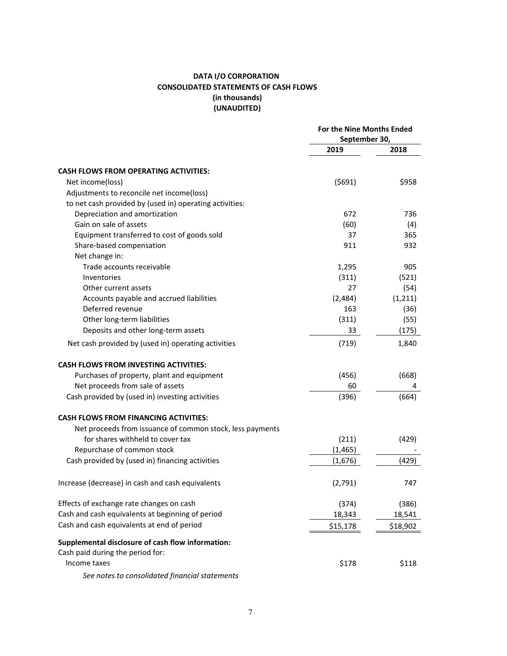# **DATA I/O CORPORATION CONSOLIDATED STATEMENTS OF CASH FLOWS (in thousands) (UNAUDITED)**

|                                                           | For the Nine Months Ended<br>September 30, |          |
|-----------------------------------------------------------|--------------------------------------------|----------|
|                                                           | 2019                                       | 2018     |
| <b>CASH FLOWS FROM OPERATING ACTIVITIES:</b>              |                                            |          |
| Net income(loss)                                          | (5691)                                     | \$958    |
| Adjustments to reconcile net income(loss)                 |                                            |          |
| to net cash provided by (used in) operating activities:   |                                            |          |
| Depreciation and amortization                             | 672                                        | 736      |
| Gain on sale of assets                                    | (60)                                       | (4)      |
| Equipment transferred to cost of goods sold               | 37                                         | 365      |
| Share-based compensation                                  | 911                                        | 932      |
| Net change in:                                            |                                            |          |
| Trade accounts receivable                                 | 1,295                                      | 905      |
| Inventories                                               | (311)                                      | (521)    |
| Other current assets                                      | 27                                         | (54)     |
| Accounts payable and accrued liabilities                  | (2,484)                                    |          |
| Deferred revenue                                          |                                            | (1, 211) |
|                                                           | 163                                        | (36)     |
| Other long-term liabilities                               | (311)                                      | (55)     |
| Deposits and other long-term assets                       | 33                                         | (175)    |
| Net cash provided by (used in) operating activities       | (719)                                      | 1,840    |
| <b>CASH FLOWS FROM INVESTING ACTIVITIES:</b>              |                                            |          |
| Purchases of property, plant and equipment                | (456)                                      | (668)    |
| Net proceeds from sale of assets                          | 60                                         | 4        |
| Cash provided by (used in) investing activities           | (396)                                      | (664)    |
| <b>CASH FLOWS FROM FINANCING ACTIVITIES:</b>              |                                            |          |
| Net proceeds from issuance of common stock, less payments |                                            |          |
| for shares withheld to cover tax                          | (211)                                      | (429)    |
| Repurchase of common stock                                | (1, 465)                                   |          |
| Cash provided by (used in) financing activities           | (1,676)                                    | (429)    |
| Increase (decrease) in cash and cash equivalents          | (2,791)                                    | 747      |
| Effects of exchange rate changes on cash                  | (374)                                      | (386)    |
| Cash and cash equivalents at beginning of period          | 18,343                                     | 18,541   |
| Cash and cash equivalents at end of period                | \$15,178                                   | \$18,902 |
| Supplemental disclosure of cash flow information:         |                                            |          |
| Cash paid during the period for:                          |                                            |          |
| Income taxes                                              | \$178                                      | \$118    |
| See notes to consolidated financial statements            |                                            |          |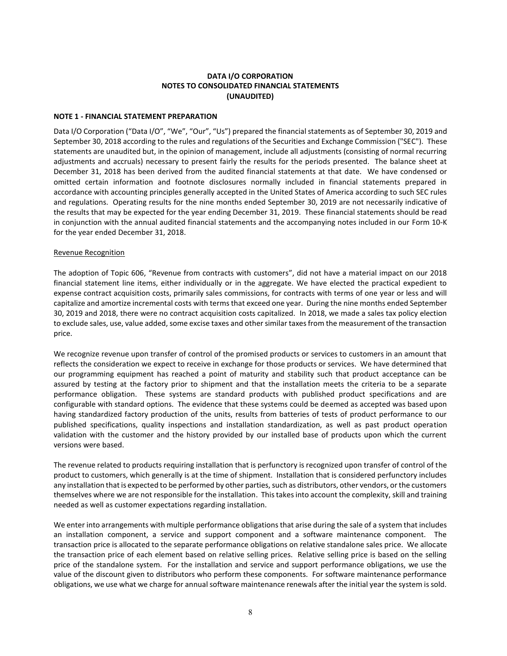# **DATA I/O CORPORATION NOTES TO CONSOLIDATED FINANCIAL STATEMENTS (UNAUDITED)**

#### **NOTE 1 - FINANCIAL STATEMENT PREPARATION**

Data I/O Corporation ("Data I/O", "We", "Our", "Us") prepared the financial statements as of September 30, 2019 and September 30, 2018 according to the rules and regulations of the Securities and Exchange Commission ("SEC"). These statements are unaudited but, in the opinion of management, include all adjustments (consisting of normal recurring adjustments and accruals) necessary to present fairly the results for the periods presented. The balance sheet at December 31, 2018 has been derived from the audited financial statements at that date. We have condensed or omitted certain information and footnote disclosures normally included in financial statements prepared in accordance with accounting principles generally accepted in the United States of America according to such SEC rules and regulations. Operating results for the nine months ended September 30, 2019 are not necessarily indicative of the results that may be expected for the year ending December 31, 2019. These financial statements should be read in conjunction with the annual audited financial statements and the accompanying notes included in our Form 10-K for the year ended December 31, 2018.

#### Revenue Recognition

The adoption of Topic 606, "Revenue from contracts with customers", did not have a material impact on our 2018 financial statement line items, either individually or in the aggregate. We have elected the practical expedient to expense contract acquisition costs, primarily sales commissions, for contracts with terms of one year or less and will capitalize and amortize incremental costs with terms that exceed one year. During the nine months ended September 30, 2019 and 2018, there were no contract acquisition costs capitalized. In 2018, we made a sales tax policy election to exclude sales, use, value added, some excise taxes and other similar taxes from the measurement of the transaction price.

We recognize revenue upon transfer of control of the promised products or services to customers in an amount that reflects the consideration we expect to receive in exchange for those products or services. We have determined that our programming equipment has reached a point of maturity and stability such that product acceptance can be assured by testing at the factory prior to shipment and that the installation meets the criteria to be a separate performance obligation. These systems are standard products with published product specifications and are configurable with standard options. The evidence that these systems could be deemed as accepted was based upon having standardized factory production of the units, results from batteries of tests of product performance to our published specifications, quality inspections and installation standardization, as well as past product operation validation with the customer and the history provided by our installed base of products upon which the current versions were based.

The revenue related to products requiring installation that is perfunctory is recognized upon transfer of control of the product to customers, which generally is at the time of shipment. Installation that is considered perfunctory includes any installation that is expected to be performed by other parties, such as distributors, other vendors, or the customers themselves where we are not responsible for the installation. This takes into account the complexity, skill and training needed as well as customer expectations regarding installation.

We enter into arrangements with multiple performance obligations that arise during the sale of a system that includes an installation component, a service and support component and a software maintenance component. The transaction price is allocated to the separate performance obligations on relative standalone sales price. We allocate the transaction price of each element based on relative selling prices. Relative selling price is based on the selling price of the standalone system. For the installation and service and support performance obligations, we use the value of the discount given to distributors who perform these components. For software maintenance performance obligations, we use what we charge for annual software maintenance renewals after the initial year the system is sold.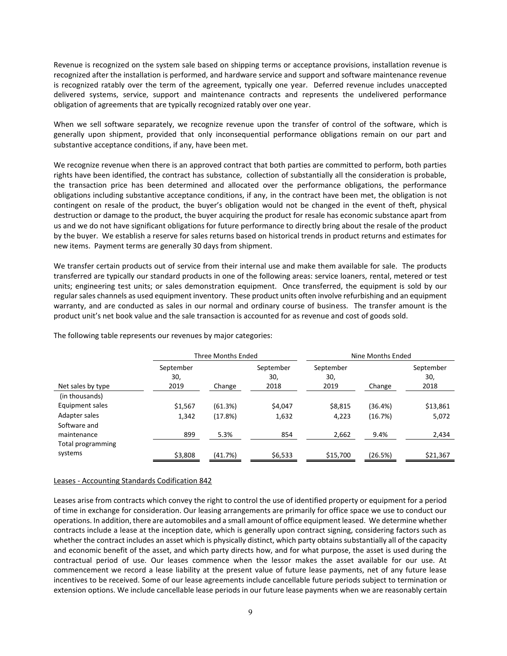Revenue is recognized on the system sale based on shipping terms or acceptance provisions, installation revenue is recognized after the installation is performed, and hardware service and support and software maintenance revenue is recognized ratably over the term of the agreement, typically one year. Deferred revenue includes unaccepted delivered systems, service, support and maintenance contracts and represents the undelivered performance obligation of agreements that are typically recognized ratably over one year.

When we sell software separately, we recognize revenue upon the transfer of control of the software, which is generally upon shipment, provided that only inconsequential performance obligations remain on our part and substantive acceptance conditions, if any, have been met.

We recognize revenue when there is an approved contract that both parties are committed to perform, both parties rights have been identified, the contract has substance, collection of substantially all the consideration is probable, the transaction price has been determined and allocated over the performance obligations, the performance obligations including substantive acceptance conditions, if any, in the contract have been met, the obligation is not contingent on resale of the product, the buyer's obligation would not be changed in the event of theft, physical destruction or damage to the product, the buyer acquiring the product for resale has economic substance apart from us and we do not have significant obligations for future performance to directly bring about the resale of the product by the buyer. We establish a reserve for sales returns based on historical trends in product returns and estimates for new items. Payment terms are generally 30 days from shipment.

We transfer certain products out of service from their internal use and make them available for sale. The products transferred are typically our standard products in one of the following areas: service loaners, rental, metered or test units; engineering test units; or sales demonstration equipment. Once transferred, the equipment is sold by our regular sales channels as used equipment inventory. These product units often involve refurbishing and an equipment warranty, and are conducted as sales in our normal and ordinary course of business. The transfer amount is the product unit's net book value and the sale transaction is accounted for as revenue and cost of goods sold.

|                               |                          | Three Months Ended |                          |                          | Nine Months Ended |                          |
|-------------------------------|--------------------------|--------------------|--------------------------|--------------------------|-------------------|--------------------------|
| Net sales by type             | September<br>30,<br>2019 | Change             | September<br>30,<br>2018 | September<br>30,<br>2019 | Change            | September<br>30,<br>2018 |
| (in thousands)                |                          |                    |                          |                          |                   |                          |
| Equipment sales               | \$1,567                  | (61.3%)            | \$4,047                  | \$8,815                  | (36.4%)           | \$13,861                 |
| Adapter sales<br>Software and | 1.342                    | (17.8%)            | 1,632                    | 4,223                    | (16.7%)           | 5,072                    |
| maintenance                   | 899                      | 5.3%               | 854                      | 2,662                    | 9.4%              | 2,434                    |
| Total programming             |                          |                    |                          |                          |                   |                          |
| systems                       | \$3,808                  | (41.7%)            | \$6,533                  | \$15,700                 | (26.5%)           | \$21,367                 |

The following table represents our revenues by major categories:

#### Leases - Accounting Standards Codification 842

Leases arise from contracts which convey the right to control the use of identified property or equipment for a period of time in exchange for consideration. Our leasing arrangements are primarily for office space we use to conduct our operations. In addition, there are automobiles and a small amount of office equipment leased. We determine whether contracts include a lease at the inception date, which is generally upon contract signing, considering factors such as whether the contract includes an asset which is physically distinct, which party obtains substantially all of the capacity and economic benefit of the asset, and which party directs how, and for what purpose, the asset is used during the contractual period of use. Our leases commence when the lessor makes the asset available for our use. At commencement we record a lease liability at the present value of future lease payments, net of any future lease incentives to be received. Some of our lease agreements include cancellable future periods subject to termination or extension options. We include cancellable lease periods in our future lease payments when we are reasonably certain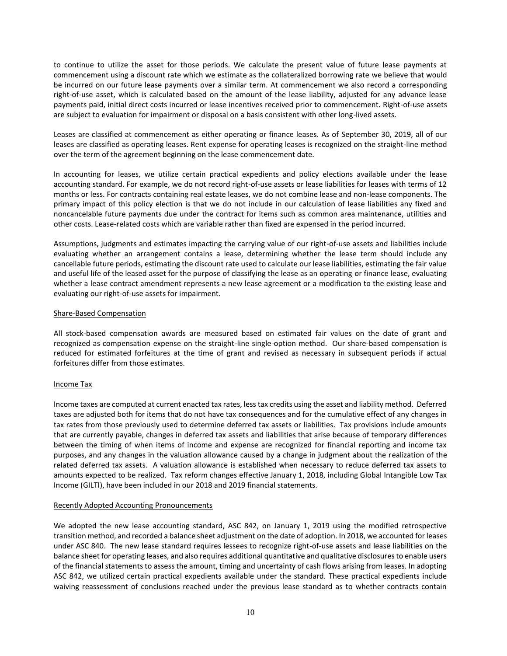to continue to utilize the asset for those periods. We calculate the present value of future lease payments at commencement using a discount rate which we estimate as the collateralized borrowing rate we believe that would be incurred on our future lease payments over a similar term. At commencement we also record a corresponding right-of-use asset, which is calculated based on the amount of the lease liability, adjusted for any advance lease payments paid, initial direct costs incurred or lease incentives received prior to commencement. Right-of-use assets are subject to evaluation for impairment or disposal on a basis consistent with other long-lived assets.

Leases are classified at commencement as either operating or finance leases. As of September 30, 2019, all of our leases are classified as operating leases. Rent expense for operating leases is recognized on the straight-line method over the term of the agreement beginning on the lease commencement date.

In accounting for leases, we utilize certain practical expedients and policy elections available under the lease accounting standard. For example, we do not record right-of-use assets or lease liabilities for leases with terms of 12 months or less. For contracts containing real estate leases, we do not combine lease and non-lease components. The primary impact of this policy election is that we do not include in our calculation of lease liabilities any fixed and noncancelable future payments due under the contract for items such as common area maintenance, utilities and other costs. Lease-related costs which are variable rather than fixed are expensed in the period incurred.

Assumptions, judgments and estimates impacting the carrying value of our right-of-use assets and liabilities include evaluating whether an arrangement contains a lease, determining whether the lease term should include any cancellable future periods, estimating the discount rate used to calculate our lease liabilities, estimating the fair value and useful life of the leased asset for the purpose of classifying the lease as an operating or finance lease, evaluating whether a lease contract amendment represents a new lease agreement or a modification to the existing lease and evaluating our right-of-use assets for impairment.

#### Share-Based Compensation

All stock-based compensation awards are measured based on estimated fair values on the date of grant and recognized as compensation expense on the straight-line single-option method. Our share-based compensation is reduced for estimated forfeitures at the time of grant and revised as necessary in subsequent periods if actual forfeitures differ from those estimates.

# Income Tax

Income taxes are computed at current enacted tax rates, less tax credits using the asset and liability method. Deferred taxes are adjusted both for items that do not have tax consequences and for the cumulative effect of any changes in tax rates from those previously used to determine deferred tax assets or liabilities. Tax provisions include amounts that are currently payable, changes in deferred tax assets and liabilities that arise because of temporary differences between the timing of when items of income and expense are recognized for financial reporting and income tax purposes, and any changes in the valuation allowance caused by a change in judgment about the realization of the related deferred tax assets. A valuation allowance is established when necessary to reduce deferred tax assets to amounts expected to be realized. Tax reform changes effective January 1, 2018, including Global Intangible Low Tax Income (GILTI), have been included in our 2018 and 2019 financial statements.

#### Recently Adopted Accounting Pronouncements

We adopted the new lease accounting standard, ASC 842, on January 1, 2019 using the modified retrospective transition method, and recorded a balance sheet adjustment on the date of adoption. In 2018, we accounted for leases under ASC 840. The new lease standard requires lessees to recognize right-of-use assets and lease liabilities on the balance sheet for operating leases, and also requires additional quantitative and qualitative disclosures to enable users of the financial statements to assess the amount, timing and uncertainty of cash flows arising from leases. In adopting ASC 842, we utilized certain practical expedients available under the standard. These practical expedients include waiving reassessment of conclusions reached under the previous lease standard as to whether contracts contain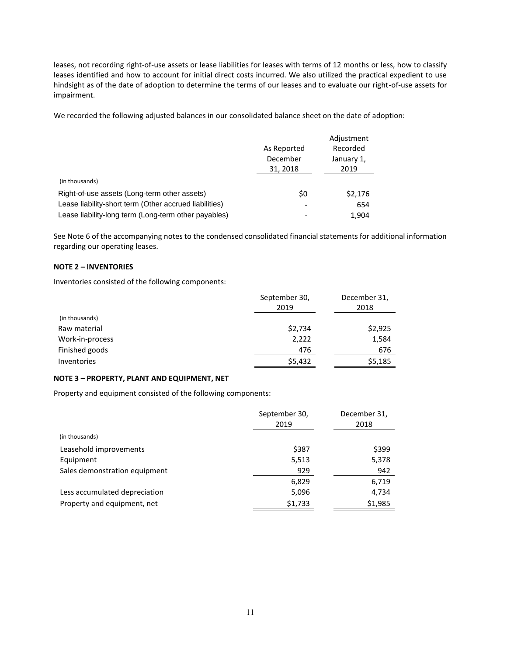leases, not recording right-of-use assets or lease liabilities for leases with terms of 12 months or less, how to classify leases identified and how to account for initial direct costs incurred. We also utilized the practical expedient to use hindsight as of the date of adoption to determine the terms of our leases and to evaluate our right-of-use assets for impairment.

We recorded the following adjusted balances in our consolidated balance sheet on the date of adoption:

|                                                        |             | Adjustment |
|--------------------------------------------------------|-------------|------------|
|                                                        | As Reported | Recorded   |
|                                                        | December    | January 1, |
|                                                        | 31, 2018    | 2019       |
| (in thousands)                                         |             |            |
| Right-of-use assets (Long-term other assets)           | \$0         | \$2,176    |
| Lease liability-short term (Other accrued liabilities) |             | 654        |
| Lease liability-long term (Long-term other payables)   |             | 1.904      |

See Note 6 of the accompanying notes to the condensed consolidated financial statements for additional information regarding our operating leases.

#### **NOTE 2 – INVENTORIES**

Inventories consisted of the following components:

|                 | September 30,<br>2019 | December 31,<br>2018 |
|-----------------|-----------------------|----------------------|
| (in thousands)  |                       |                      |
| Raw material    | \$2,734               | \$2,925              |
| Work-in-process | 2,222                 | 1,584                |
| Finished goods  | 476                   | 676                  |
| Inventories     | \$5,432               | \$5,185              |

#### **NOTE 3 – PROPERTY, PLANT AND EQUIPMENT, NET**

Property and equipment consisted of the following components:

|                               | September 30,<br>2019 | December 31,<br>2018 |
|-------------------------------|-----------------------|----------------------|
| (in thousands)                |                       |                      |
| Leasehold improvements        | \$387                 | \$399                |
| Equipment                     | 5,513                 | 5,378                |
| Sales demonstration equipment | 929                   | 942                  |
|                               | 6,829                 | 6,719                |
| Less accumulated depreciation | 5,096                 | 4,734                |
| Property and equipment, net   | \$1,733               | \$1,985              |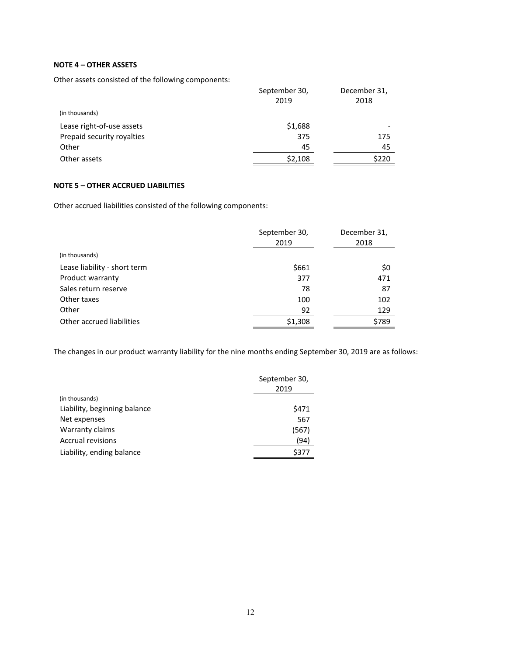# **NOTE 4 – OTHER ASSETS**

Other assets consisted of the following components:

|                            | September 30,<br>2019 | December 31,<br>2018 |  |
|----------------------------|-----------------------|----------------------|--|
| (in thousands)             |                       |                      |  |
| Lease right-of-use assets  | \$1,688               |                      |  |
| Prepaid security royalties | 375                   | 175                  |  |
| Other                      | 45                    | 45                   |  |
| Other assets               | \$2,108               | \$220                |  |

# **NOTE 5 – OTHER ACCRUED LIABILITIES**

Other accrued liabilities consisted of the following components:

|                              | September 30,<br>2019 | December 31,<br>2018 |
|------------------------------|-----------------------|----------------------|
| (in thousands)               |                       |                      |
| Lease liability - short term | \$661                 | \$0                  |
| Product warranty             | 377                   | 471                  |
| Sales return reserve         | 78                    | 87                   |
| Other taxes                  | 100                   | 102                  |
| Other                        | 92                    | 129                  |
| Other accrued liabilities    | \$1,308               | \$789                |

The changes in our product warranty liability for the nine months ending September 30, 2019 are as follows:

|                              | September 30,<br>2019 |  |  |
|------------------------------|-----------------------|--|--|
| (in thousands)               |                       |  |  |
| Liability, beginning balance | \$471                 |  |  |
| Net expenses                 | 567                   |  |  |
| Warranty claims              | (567)                 |  |  |
| <b>Accrual revisions</b>     | (94)                  |  |  |
| Liability, ending balance    | \$377                 |  |  |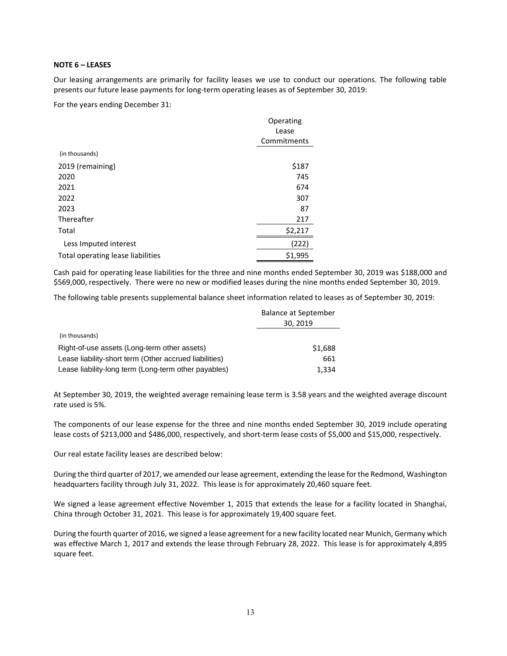#### **NOTE 6 – LEASES**

Our leasing arrangements are primarily for facility leases we use to conduct our operations. The following table presents our future lease payments for long-term operating leases as of September 30, 2019:

For the years ending December 31:

|                                   | Operating   |
|-----------------------------------|-------------|
|                                   | Lease       |
|                                   | Commitments |
| (in thousands)                    |             |
| 2019 (remaining)                  | \$187       |
| 2020                              | 745         |
| 2021                              | 674         |
| 2022                              | 307         |
| 2023                              | 87          |
| Thereafter                        | 217         |
| Total                             | \$2,217     |
| Less Imputed interest             | 222)        |
| Total operating lease liabilities | \$1,995     |

Cash paid for operating lease liabilities for the three and nine months ended September 30, 2019 was \$188,000 and \$569,000, respectively. There were no new or modified leases during the nine months ended September 30, 2019.

The following table presents supplemental balance sheet information related to leases as of September 30, 2019:

|                                                        | <b>Balance at September</b><br>30, 2019 |  |  |
|--------------------------------------------------------|-----------------------------------------|--|--|
| (in thousands)                                         |                                         |  |  |
| Right-of-use assets (Long-term other assets)           | \$1,688                                 |  |  |
| Lease liability-short term (Other accrued liabilities) | 661                                     |  |  |
| Lease liability-long term (Long-term other payables)   | 1,334                                   |  |  |

At September 30, 2019, the weighted average remaining lease term is 3.58 years and the weighted average discount rate used is 5%.

The components of our lease expense for the three and nine months ended September 30, 2019 include operating lease costs of \$213,000 and \$486,000, respectively, and short-term lease costs of \$5,000 and \$15,000, respectively.

Our real estate facility leases are described below:

During the third quarter of 2017, we amended our lease agreement, extending the lease for the Redmond, Washington headquarters facility through July 31, 2022. This lease is for approximately 20,460 square feet.

We signed a lease agreement effective November 1, 2015 that extends the lease for a facility located in Shanghai, China through October 31, 2021. This lease is for approximately 19,400 square feet.

During the fourth quarter of 2016, we signed a lease agreement for a new facility located near Munich, Germany which was effective March 1, 2017 and extends the lease through February 28, 2022. This lease is for approximately 4,895 square feet.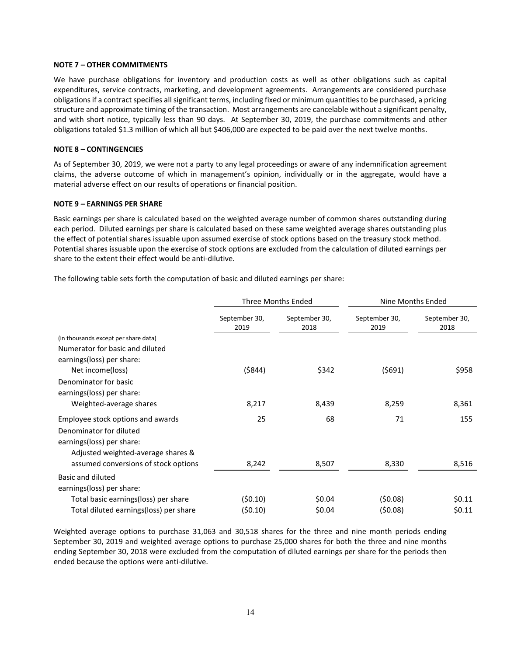#### **NOTE 7 – OTHER COMMITMENTS**

We have purchase obligations for inventory and production costs as well as other obligations such as capital expenditures, service contracts, marketing, and development agreements. Arrangements are considered purchase obligations if a contract specifies all significant terms, including fixed or minimum quantities to be purchased, a pricing structure and approximate timing of the transaction. Most arrangements are cancelable without a significant penalty, and with short notice, typically less than 90 days. At September 30, 2019, the purchase commitments and other obligations totaled \$1.3 million of which all but \$406,000 are expected to be paid over the next twelve months.

# **NOTE 8 – CONTINGENCIES**

As of September 30, 2019, we were not a party to any legal proceedings or aware of any indemnification agreement claims, the adverse outcome of which in management's opinion, individually or in the aggregate, would have a material adverse effect on our results of operations or financial position.

#### **NOTE 9 – EARNINGS PER SHARE**

Basic earnings per share is calculated based on the weighted average number of common shares outstanding during each period. Diluted earnings per share is calculated based on these same weighted average shares outstanding plus the effect of potential shares issuable upon assumed exercise of stock options based on the treasury stock method. Potential shares issuable upon the exercise of stock options are excluded from the calculation of diluted earnings per share to the extent their effect would be anti-dilutive.

The following table sets forth the computation of basic and diluted earnings per share:

|                                        |                       | Three Months Ended    |                       | Nine Months Ended     |
|----------------------------------------|-----------------------|-----------------------|-----------------------|-----------------------|
|                                        | September 30,<br>2019 | September 30,<br>2018 | September 30,<br>2019 | September 30,<br>2018 |
| (in thousands except per share data)   |                       |                       |                       |                       |
| Numerator for basic and diluted        |                       |                       |                       |                       |
| earnings(loss) per share:              |                       |                       |                       |                       |
| Net income(loss)                       | ( \$844)              | \$342                 | (5691)                | \$958                 |
| Denominator for basic                  |                       |                       |                       |                       |
| earnings(loss) per share:              |                       |                       |                       |                       |
| Weighted-average shares                | 8,217                 | 8,439                 | 8,259                 | 8,361                 |
| Employee stock options and awards      | 25                    | 68                    | 71                    | 155                   |
| Denominator for diluted                |                       |                       |                       |                       |
| earnings(loss) per share:              |                       |                       |                       |                       |
| Adjusted weighted-average shares &     |                       |                       |                       |                       |
| assumed conversions of stock options   | 8,242                 | 8,507                 | 8,330                 | 8,516                 |
| Basic and diluted                      |                       |                       |                       |                       |
| earnings(loss) per share:              |                       |                       |                       |                       |
| Total basic earnings(loss) per share   | (50.10)               | \$0.04                | (50.08)               | \$0.11                |
| Total diluted earnings(loss) per share | (50.10)               | \$0.04                | (50.08)               | \$0.11                |

Weighted average options to purchase 31,063 and 30,518 shares for the three and nine month periods ending September 30, 2019 and weighted average options to purchase 25,000 shares for both the three and nine months ending September 30, 2018 were excluded from the computation of diluted earnings per share for the periods then ended because the options were anti-dilutive.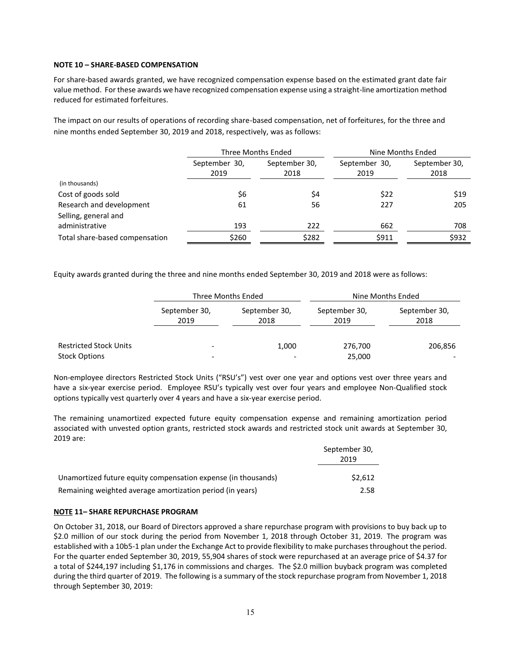#### **NOTE 10 – SHARE-BASED COMPENSATION**

For share-based awards granted, we have recognized compensation expense based on the estimated grant date fair value method. For these awards we have recognized compensation expense using a straight-line amortization method reduced for estimated forfeitures.

The impact on our results of operations of recording share-based compensation, net of forfeitures, for the three and nine months ended September 30, 2019 and 2018, respectively, was as follows:

|                                |                                                | Three Months Ended |                       | Nine Months Ended     |
|--------------------------------|------------------------------------------------|--------------------|-----------------------|-----------------------|
|                                | September 30,<br>September 30,<br>2019<br>2018 |                    | September 30,<br>2019 | September 30,<br>2018 |
| (in thousands)                 |                                                |                    |                       |                       |
| Cost of goods sold             | \$6                                            | \$4                | \$22                  | \$19                  |
| Research and development       | 61                                             | 56                 | 227                   | 205                   |
| Selling, general and           |                                                |                    |                       |                       |
| administrative                 | 193                                            | 222                | 662                   | 708                   |
| Total share-based compensation | \$260                                          | \$282              | \$911                 | \$932                 |

Equity awards granted during the three and nine months ended September 30, 2019 and 2018 were as follows:

|                               |                          | Three Months Ended    | Nine Months Ended     |                       |  |
|-------------------------------|--------------------------|-----------------------|-----------------------|-----------------------|--|
|                               | September 30,<br>2019    | September 30,<br>2018 | September 30,<br>2019 | September 30,<br>2018 |  |
| <b>Restricted Stock Units</b> | $\overline{\phantom{a}}$ | 1,000                 | 276,700               | 206,856               |  |
| <b>Stock Options</b>          | $\overline{\phantom{a}}$ |                       | 25,000                |                       |  |

Non-employee directors Restricted Stock Units ("RSU's") vest over one year and options vest over three years and have a six-year exercise period. Employee RSU's typically vest over four years and employee Non-Qualified stock options typically vest quarterly over 4 years and have a six-year exercise period.

The remaining unamortized expected future equity compensation expense and remaining amortization period associated with unvested option grants, restricted stock awards and restricted stock unit awards at September 30, 2019 are:

|                                                               | September 30,<br>2019 |
|---------------------------------------------------------------|-----------------------|
| Unamortized future equity compensation expense (in thousands) | \$2.612               |
| Remaining weighted average amortization period (in years)     | 2.58                  |

# **NOTE 11– SHARE REPURCHASE PROGRAM**

On October 31, 2018, our Board of Directors approved a share repurchase program with provisions to buy back up to \$2.0 million of our stock during the period from November 1, 2018 through October 31, 2019. The program was established with a 10b5-1 plan under the Exchange Act to provide flexibility to make purchases throughout the period. For the quarter ended September 30, 2019, 55,904 shares of stock were repurchased at an average price of \$4.37 for a total of \$244,197 including \$1,176 in commissions and charges. The \$2.0 million buyback program was completed during the third quarter of 2019. The following is a summary of the stock repurchase program from November 1, 2018 through September 30, 2019: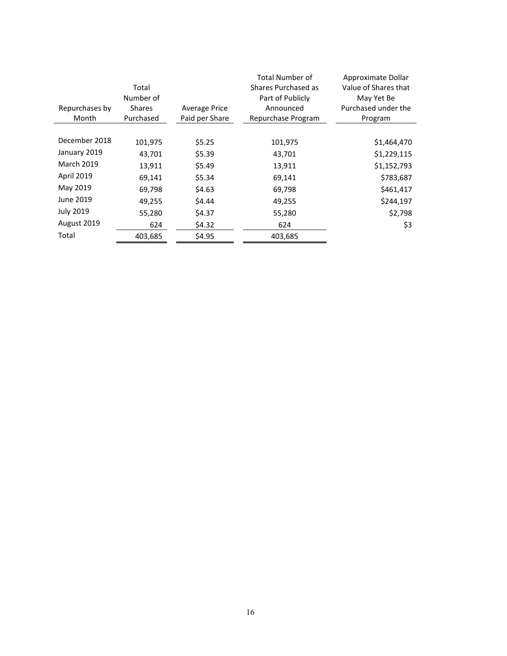|                         | Total<br>Number of         |                                        | <b>Total Number of</b><br>Shares Purchased as<br>Part of Publicly | Approximate Dollar<br>Value of Shares that<br>May Yet Be |
|-------------------------|----------------------------|----------------------------------------|-------------------------------------------------------------------|----------------------------------------------------------|
| Repurchases by<br>Month | <b>Shares</b><br>Purchased | <b>Average Price</b><br>Paid per Share | Announced<br>Repurchase Program                                   | Purchased under the<br>Program                           |
|                         |                            |                                        |                                                                   |                                                          |
| December 2018           | 101,975                    | \$5.25                                 | 101,975                                                           | \$1,464,470                                              |
| January 2019            | 43,701                     | \$5.39                                 | 43,701                                                            | \$1,229,115                                              |
| <b>March 2019</b>       | 13,911                     | \$5.49                                 | 13,911                                                            | \$1,152,793                                              |
| <b>April 2019</b>       | 69,141                     | \$5.34                                 | 69,141                                                            | \$783,687                                                |
| May 2019                | 69,798                     | \$4.63                                 | 69,798                                                            | \$461,417                                                |
| June 2019               | 49,255                     | \$4.44                                 | 49,255                                                            | \$244,197                                                |
| <b>July 2019</b>        | 55,280                     | \$4.37                                 | 55,280                                                            | \$2,798                                                  |
| August 2019             | 624                        | \$4.32                                 | 624                                                               | \$3                                                      |
| Total                   | 403,685                    | \$4.95                                 | 403,685                                                           |                                                          |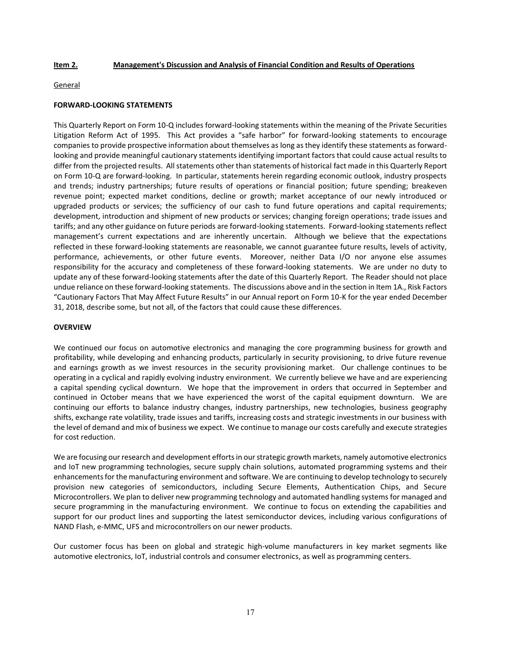#### **Item 2. Management's Discussion and Analysis of Financial Condition and Results of Operations**

#### General

#### **FORWARD-LOOKING STATEMENTS**

This Quarterly Report on Form 10-Q includes forward-looking statements within the meaning of the Private Securities Litigation Reform Act of 1995. This Act provides a "safe harbor" for forward-looking statements to encourage companies to provide prospective information about themselves as long as they identify these statements as forwardlooking and provide meaningful cautionary statements identifying important factors that could cause actual results to differ from the projected results. All statements other than statements of historical fact made in this Quarterly Report on Form 10-Q are forward-looking. In particular, statements herein regarding economic outlook, industry prospects and trends; industry partnerships; future results of operations or financial position; future spending; breakeven revenue point; expected market conditions, decline or growth; market acceptance of our newly introduced or upgraded products or services; the sufficiency of our cash to fund future operations and capital requirements; development, introduction and shipment of new products or services; changing foreign operations; trade issues and tariffs; and any other guidance on future periods are forward-looking statements. Forward-looking statements reflect management's current expectations and are inherently uncertain. Although we believe that the expectations reflected in these forward-looking statements are reasonable, we cannot guarantee future results, levels of activity, performance, achievements, or other future events. Moreover, neither Data I/O nor anyone else assumes responsibility for the accuracy and completeness of these forward-looking statements. We are under no duty to update any of these forward-looking statements after the date of this Quarterly Report. The Reader should not place undue reliance on these forward-looking statements. The discussions above and in the section in Item 1A., Risk Factors "Cautionary Factors That May Affect Future Results" in our Annual report on Form 10-K for the year ended December 31, 2018, describe some, but not all, of the factors that could cause these differences.

#### **OVERVIEW**

We continued our focus on automotive electronics and managing the core programming business for growth and profitability, while developing and enhancing products, particularly in security provisioning, to drive future revenue and earnings growth as we invest resources in the security provisioning market. Our challenge continues to be operating in a cyclical and rapidly evolving industry environment. We currently believe we have and are experiencing a capital spending cyclical downturn. We hope that the improvement in orders that occurred in September and continued in October means that we have experienced the worst of the capital equipment downturn. We are continuing our efforts to balance industry changes, industry partnerships, new technologies, business geography shifts, exchange rate volatility, trade issues and tariffs, increasing costs and strategic investments in our business with the level of demand and mix of business we expect. We continue to manage our costs carefully and execute strategies for cost reduction.

We are focusing our research and development efforts in our strategic growth markets, namely automotive electronics and IoT new programming technologies, secure supply chain solutions, automated programming systems and their enhancements for the manufacturing environment and software. We are continuing to develop technology to securely provision new categories of semiconductors, including Secure Elements, Authentication Chips, and Secure Microcontrollers. We plan to deliver new programming technology and automated handling systems for managed and secure programming in the manufacturing environment. We continue to focus on extending the capabilities and support for our product lines and supporting the latest semiconductor devices, including various configurations of NAND Flash, e-MMC, UFS and microcontrollers on our newer products.

Our customer focus has been on global and strategic high-volume manufacturers in key market segments like automotive electronics, IoT, industrial controls and consumer electronics, as well as programming centers.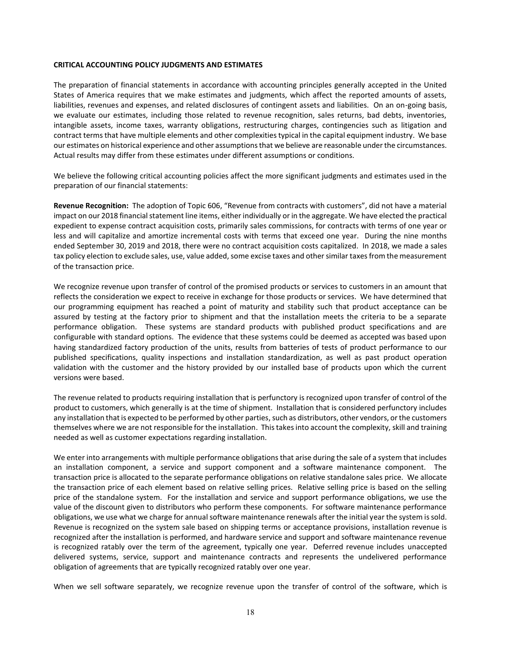#### **CRITICAL ACCOUNTING POLICY JUDGMENTS AND ESTIMATES**

The preparation of financial statements in accordance with accounting principles generally accepted in the United States of America requires that we make estimates and judgments, which affect the reported amounts of assets, liabilities, revenues and expenses, and related disclosures of contingent assets and liabilities. On an on-going basis, we evaluate our estimates, including those related to revenue recognition, sales returns, bad debts, inventories, intangible assets, income taxes, warranty obligations, restructuring charges, contingencies such as litigation and contract terms that have multiple elements and other complexities typical in the capital equipment industry. We base our estimates on historical experience and other assumptions that we believe are reasonable under the circumstances. Actual results may differ from these estimates under different assumptions or conditions.

We believe the following critical accounting policies affect the more significant judgments and estimates used in the preparation of our financial statements:

**Revenue Recognition:** The adoption of Topic 606, "Revenue from contracts with customers", did not have a material impact on our 2018 financial statement line items, either individually or in the aggregate. We have elected the practical expedient to expense contract acquisition costs, primarily sales commissions, for contracts with terms of one year or less and will capitalize and amortize incremental costs with terms that exceed one year. During the nine months ended September 30, 2019 and 2018, there were no contract acquisition costs capitalized. In 2018, we made a sales tax policy election to exclude sales, use, value added, some excise taxes and other similar taxes from the measurement of the transaction price.

We recognize revenue upon transfer of control of the promised products or services to customers in an amount that reflects the consideration we expect to receive in exchange for those products or services. We have determined that our programming equipment has reached a point of maturity and stability such that product acceptance can be assured by testing at the factory prior to shipment and that the installation meets the criteria to be a separate performance obligation. These systems are standard products with published product specifications and are configurable with standard options. The evidence that these systems could be deemed as accepted was based upon having standardized factory production of the units, results from batteries of tests of product performance to our published specifications, quality inspections and installation standardization, as well as past product operation validation with the customer and the history provided by our installed base of products upon which the current versions were based.

The revenue related to products requiring installation that is perfunctory is recognized upon transfer of control of the product to customers, which generally is at the time of shipment. Installation that is considered perfunctory includes any installation that is expected to be performed by other parties, such as distributors, other vendors, or the customers themselves where we are not responsible for the installation. This takes into account the complexity, skill and training needed as well as customer expectations regarding installation.

We enter into arrangements with multiple performance obligations that arise during the sale of a system that includes an installation component, a service and support component and a software maintenance component. The transaction price is allocated to the separate performance obligations on relative standalone sales price. We allocate the transaction price of each element based on relative selling prices. Relative selling price is based on the selling price of the standalone system. For the installation and service and support performance obligations, we use the value of the discount given to distributors who perform these components. For software maintenance performance obligations, we use what we charge for annual software maintenance renewals after the initial year the system is sold. Revenue is recognized on the system sale based on shipping terms or acceptance provisions, installation revenue is recognized after the installation is performed, and hardware service and support and software maintenance revenue is recognized ratably over the term of the agreement, typically one year. Deferred revenue includes unaccepted delivered systems, service, support and maintenance contracts and represents the undelivered performance obligation of agreements that are typically recognized ratably over one year.

When we sell software separately, we recognize revenue upon the transfer of control of the software, which is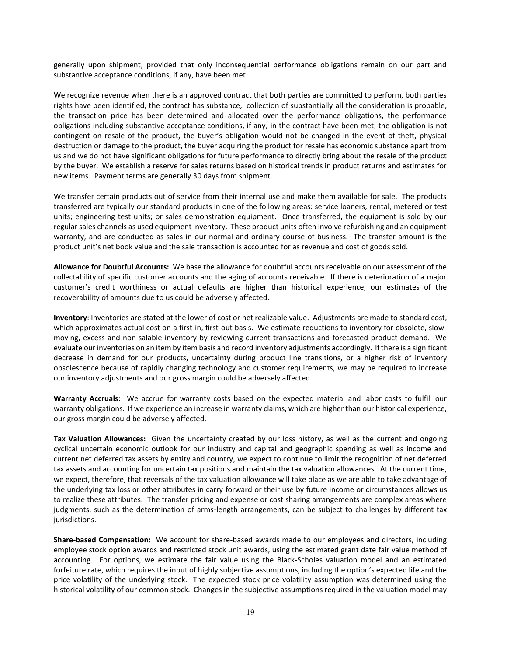generally upon shipment, provided that only inconsequential performance obligations remain on our part and substantive acceptance conditions, if any, have been met.

We recognize revenue when there is an approved contract that both parties are committed to perform, both parties rights have been identified, the contract has substance, collection of substantially all the consideration is probable, the transaction price has been determined and allocated over the performance obligations, the performance obligations including substantive acceptance conditions, if any, in the contract have been met, the obligation is not contingent on resale of the product, the buyer's obligation would not be changed in the event of theft, physical destruction or damage to the product, the buyer acquiring the product for resale has economic substance apart from us and we do not have significant obligations for future performance to directly bring about the resale of the product by the buyer. We establish a reserve for sales returns based on historical trends in product returns and estimates for new items. Payment terms are generally 30 days from shipment.

We transfer certain products out of service from their internal use and make them available for sale. The products transferred are typically our standard products in one of the following areas: service loaners, rental, metered or test units; engineering test units; or sales demonstration equipment. Once transferred, the equipment is sold by our regular sales channels as used equipment inventory. These product units often involve refurbishing and an equipment warranty, and are conducted as sales in our normal and ordinary course of business. The transfer amount is the product unit's net book value and the sale transaction is accounted for as revenue and cost of goods sold.

**Allowance for Doubtful Accounts:** We base the allowance for doubtful accounts receivable on our assessment of the collectability of specific customer accounts and the aging of accounts receivable. If there is deterioration of a major customer's credit worthiness or actual defaults are higher than historical experience, our estimates of the recoverability of amounts due to us could be adversely affected.

**Inventory**: Inventories are stated at the lower of cost or net realizable value. Adjustments are made to standard cost, which approximates actual cost on a first-in, first-out basis. We estimate reductions to inventory for obsolete, slowmoving, excess and non-salable inventory by reviewing current transactions and forecasted product demand. We evaluate our inventories on an item by item basis and record inventory adjustments accordingly. If there is a significant decrease in demand for our products, uncertainty during product line transitions, or a higher risk of inventory obsolescence because of rapidly changing technology and customer requirements, we may be required to increase our inventory adjustments and our gross margin could be adversely affected.

**Warranty Accruals:** We accrue for warranty costs based on the expected material and labor costs to fulfill our warranty obligations. If we experience an increase in warranty claims, which are higher than our historical experience, our gross margin could be adversely affected.

**Tax Valuation Allowances:** Given the uncertainty created by our loss history, as well as the current and ongoing cyclical uncertain economic outlook for our industry and capital and geographic spending as well as income and current net deferred tax assets by entity and country, we expect to continue to limit the recognition of net deferred tax assets and accounting for uncertain tax positions and maintain the tax valuation allowances. At the current time, we expect, therefore, that reversals of the tax valuation allowance will take place as we are able to take advantage of the underlying tax loss or other attributes in carry forward or their use by future income or circumstances allows us to realize these attributes. The transfer pricing and expense or cost sharing arrangements are complex areas where judgments, such as the determination of arms-length arrangements, can be subject to challenges by different tax jurisdictions.

**Share-based Compensation:** We account for share-based awards made to our employees and directors, including employee stock option awards and restricted stock unit awards, using the estimated grant date fair value method of accounting. For options, we estimate the fair value using the Black-Scholes valuation model and an estimated forfeiture rate, which requires the input of highly subjective assumptions, including the option's expected life and the price volatility of the underlying stock. The expected stock price volatility assumption was determined using the historical volatility of our common stock. Changes in the subjective assumptions required in the valuation model may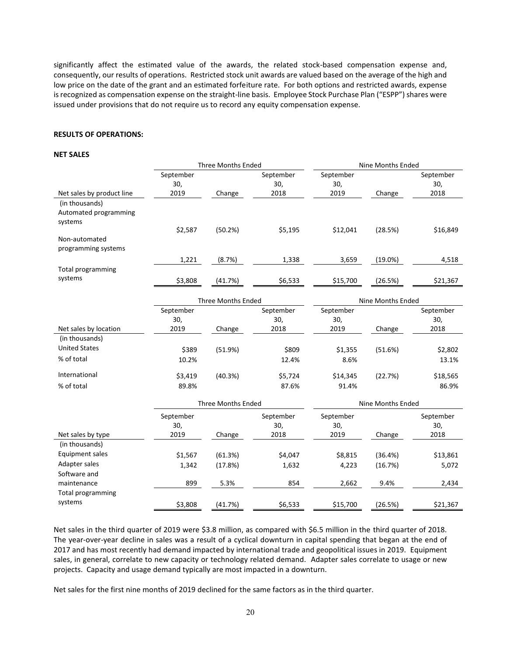significantly affect the estimated value of the awards, the related stock-based compensation expense and, consequently, our results of operations. Restricted stock unit awards are valued based on the average of the high and low price on the date of the grant and an estimated forfeiture rate. For both options and restricted awards, expense is recognized as compensation expense on the straight-line basis. Employee Stock Purchase Plan ("ESPP") shares were issued under provisions that do not require us to record any equity compensation expense.

### **RESULTS OF OPERATIONS:**

#### **NET SALES**

|                                     | <b>Three Months Ended</b> |                           |                  | Nine Months Ended |                   |             |
|-------------------------------------|---------------------------|---------------------------|------------------|-------------------|-------------------|-------------|
|                                     | September                 |                           | September        | September         |                   | September   |
|                                     | 30,                       |                           | 30,              | 30,               |                   | 30,         |
| Net sales by product line           | 2019                      | Change                    | 2018             | 2019              | Change            | 2018        |
| (in thousands)                      |                           |                           |                  |                   |                   |             |
| Automated programming               |                           |                           |                  |                   |                   |             |
| systems                             |                           |                           |                  |                   |                   |             |
|                                     | \$2,587                   | (50.2%)                   | \$5,195          | \$12,041          | (28.5%)           | \$16,849    |
| Non-automated                       |                           |                           |                  |                   |                   |             |
| programming systems                 |                           |                           |                  |                   |                   |             |
|                                     | 1,221                     | (8.7%)                    | 1,338            | 3,659             | $(19.0\%)$        | 4,518       |
| <b>Total programming</b>            |                           |                           |                  |                   |                   |             |
| systems                             | \$3,808                   | (41.7%)                   | \$6,533          | \$15,700          | (26.5%)           | \$21,367    |
|                                     |                           |                           |                  |                   |                   |             |
|                                     |                           | <b>Three Months Ended</b> |                  |                   | Nine Months Ended |             |
|                                     | September                 |                           | September        | September         |                   | September   |
|                                     | 30,                       |                           | 30,              | 30,               |                   | 30,         |
| Net sales by location               | 2019                      | Change                    | 2018             | 2019              | Change            | 2018        |
| (in thousands)                      |                           |                           |                  |                   |                   |             |
| <b>United States</b>                | \$389                     | (51.9%)                   | \$809            | \$1,355           | (51.6%)           | \$2,802     |
| % of total                          | 10.2%                     |                           | 12.4%            | 8.6%              |                   | 13.1%       |
|                                     |                           |                           |                  |                   |                   |             |
| International                       | \$3,419                   | (40.3%)                   | \$5,724          | \$14,345          | (22.7%)           | \$18,565    |
| % of total                          | 89.8%                     |                           | 87.6%            | 91.4%             |                   | 86.9%       |
|                                     | <b>Three Months Ended</b> |                           |                  | Nine Months Ended |                   |             |
|                                     |                           |                           |                  |                   |                   |             |
|                                     | September<br>30,          |                           | September<br>30, | September<br>30,  |                   | September   |
|                                     | 2019                      |                           | 2018             | 2019              |                   | 30,<br>2018 |
| Net sales by type<br>(in thousands) |                           | Change                    |                  |                   | Change            |             |
|                                     |                           |                           |                  |                   |                   |             |
| Equipment sales                     | \$1,567                   | (61.3%)                   | \$4,047          | \$8,815           | (36.4%)           | \$13,861    |
| Adapter sales                       | 1,342                     | (17.8%)                   | 1,632            | 4,223             | (16.7%)           | 5,072       |
| Software and                        |                           |                           |                  |                   |                   |             |
| maintenance                         | 899                       | 5.3%                      | 854              | 2,662             | 9.4%              | 2,434       |
| Total programming                   |                           |                           |                  |                   |                   |             |
| systems                             | \$3,808                   | (41.7%)                   | \$6,533          | \$15,700          | (26.5%)           | \$21,367    |

Net sales in the third quarter of 2019 were \$3.8 million, as compared with \$6.5 million in the third quarter of 2018. The year-over-year decline in sales was a result of a cyclical downturn in capital spending that began at the end of 2017 and has most recently had demand impacted by international trade and geopolitical issues in 2019. Equipment sales, in general, correlate to new capacity or technology related demand. Adapter sales correlate to usage or new projects. Capacity and usage demand typically are most impacted in a downturn.

Net sales for the first nine months of 2019 declined for the same factors as in the third quarter.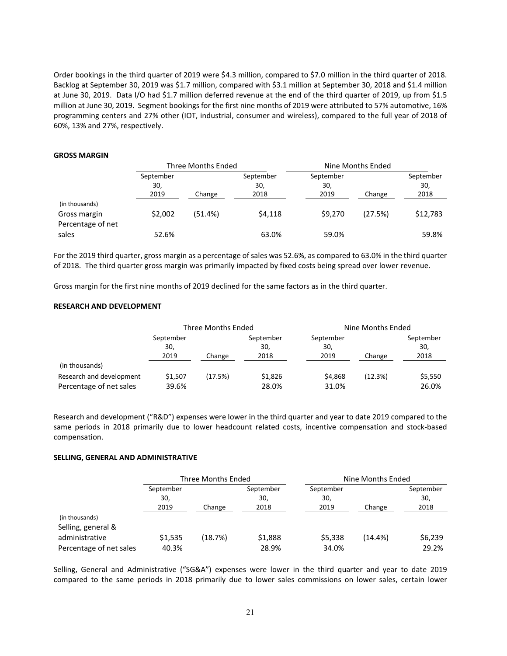Order bookings in the third quarter of 2019 were \$4.3 million, compared to \$7.0 million in the third quarter of 2018. Backlog at September 30, 2019 was \$1.7 million, compared with \$3.1 million at September 30, 2018 and \$1.4 million at June 30, 2019. Data I/O had \$1.7 million deferred revenue at the end of the third quarter of 2019, up from \$1.5 million at June 30, 2019. Segment bookings for the first nine months of 2019 were attributed to 57% automotive, 16% programming centers and 27% other (IOT, industrial, consumer and wireless), compared to the full year of 2018 of 60%, 13% and 27%, respectively.

#### **GROSS MARGIN**

|                   | Three Months Ended |         |                  |                  | Nine Months Ended |                  |
|-------------------|--------------------|---------|------------------|------------------|-------------------|------------------|
|                   | September<br>30,   |         | September<br>30, | September<br>30, |                   | September<br>30, |
|                   | 2019               | Change  | 2018             | 2019             | Change            | 2018             |
| (in thousands)    |                    |         |                  |                  |                   |                  |
| Gross margin      | \$2,002            | (51.4%) | \$4.118          | \$9,270          | (27.5%)           | \$12,783         |
| Percentage of net |                    |         |                  |                  |                   |                  |
| sales             | 52.6%              |         | 63.0%            | 59.0%            |                   | 59.8%            |

For the 2019 third quarter, gross margin as a percentage of sales was 52.6%, as compared to 63.0% in the third quarter of 2018. The third quarter gross margin was primarily impacted by fixed costs being spread over lower revenue.

Gross margin for the first nine months of 2019 declined for the same factors as in the third quarter.

#### **RESEARCH AND DEVELOPMENT**

|                          | Three Months Ended       |         |                          | Nine Months Ended        |         |                          |
|--------------------------|--------------------------|---------|--------------------------|--------------------------|---------|--------------------------|
|                          | September<br>30,<br>2019 | Change  | September<br>30,<br>2018 | September<br>30,<br>2019 | Change  | September<br>30,<br>2018 |
| (in thousands)           |                          |         |                          |                          |         |                          |
| Research and development | \$1.507                  | (17.5%) | \$1,826                  | \$4,868                  | (12.3%) | \$5,550                  |
| Percentage of net sales  | 39.6%                    |         | 28.0%                    | 31.0%                    |         | 26.0%                    |

Research and development ("R&D") expenses were lower in the third quarter and year to date 2019 compared to the same periods in 2018 primarily due to lower headcount related costs, incentive compensation and stock-based compensation.

#### **SELLING, GENERAL AND ADMINISTRATIVE**

|                         | Three Months Ended |         |           | Nine Months Ended |            |           |
|-------------------------|--------------------|---------|-----------|-------------------|------------|-----------|
|                         | September          |         | September | September         |            | September |
|                         | 30,                |         | 30,       | 30,               |            | 30,       |
|                         | 2019               | Change  | 2018      | 2019              | Change     | 2018      |
| (in thousands)          |                    |         |           |                   |            |           |
| Selling, general &      |                    |         |           |                   |            |           |
| administrative          | \$1,535            | (18.7%) | \$1,888   | \$5,338           | $(14.4\%)$ | \$6,239   |
| Percentage of net sales | 40.3%              |         | 28.9%     | 34.0%             |            | 29.2%     |

Selling, General and Administrative ("SG&A") expenses were lower in the third quarter and year to date 2019 compared to the same periods in 2018 primarily due to lower sales commissions on lower sales, certain lower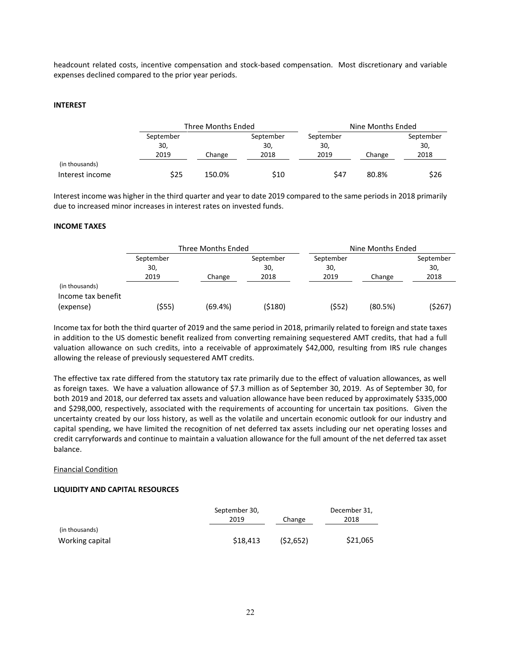headcount related costs, incentive compensation and stock-based compensation. Most discretionary and variable expenses declined compared to the prior year periods.

#### **INTEREST**

|                 |           | Three Months Ended |           |           | Nine Months Ended |           |  |
|-----------------|-----------|--------------------|-----------|-----------|-------------------|-----------|--|
|                 | September |                    | September | September |                   | September |  |
|                 | 30,       |                    | 30,       | 30,       |                   | 30,       |  |
|                 | 2019      | Change             | 2018      | 2019      | Change            | 2018      |  |
| (in thousands)  |           |                    |           |           |                   |           |  |
| Interest income | \$25      | 150.0%             | \$10      | \$47      | 80.8%             | \$26      |  |

Interest income was higher in the third quarter and year to date 2019 compared to the same periods in 2018 primarily due to increased minor increases in interest rates on invested funds.

#### **INCOME TAXES**

|                                      | Three Months Ended       |         |                          | Nine Months Ended        |         |                          |
|--------------------------------------|--------------------------|---------|--------------------------|--------------------------|---------|--------------------------|
|                                      | September<br>30,<br>2019 | Change  | September<br>30,<br>2018 | September<br>30,<br>2019 | Change  | September<br>30,<br>2018 |
| (in thousands)<br>Income tax benefit |                          |         |                          |                          |         |                          |
| (expense)                            | (\$55)                   | (69.4%) | (\$180)                  | (552)                    | (80.5%) | (\$267)                  |

Income tax for both the third quarter of 2019 and the same period in 2018, primarily related to foreign and state taxes in addition to the US domestic benefit realized from converting remaining sequestered AMT credits, that had a full valuation allowance on such credits, into a receivable of approximately \$42,000, resulting from IRS rule changes allowing the release of previously sequestered AMT credits.

The effective tax rate differed from the statutory tax rate primarily due to the effect of valuation allowances, as well as foreign taxes. We have a valuation allowance of \$7.3 million as of September 30, 2019. As of September 30, for both 2019 and 2018, our deferred tax assets and valuation allowance have been reduced by approximately \$335,000 and \$298,000, respectively, associated with the requirements of accounting for uncertain tax positions. Given the uncertainty created by our loss history, as well as the volatile and uncertain economic outlook for our industry and capital spending, we have limited the recognition of net deferred tax assets including our net operating losses and credit carryforwards and continue to maintain a valuation allowance for the full amount of the net deferred tax asset balance.

#### Financial Condition

#### **LIQUIDITY AND CAPITAL RESOURCES**

|                 | September 30, | December 31, |          |
|-----------------|---------------|--------------|----------|
|                 | 2019          | Change       | 2018     |
| (in thousands)  |               |              |          |
| Working capital | \$18,413      | (52, 652)    | \$21,065 |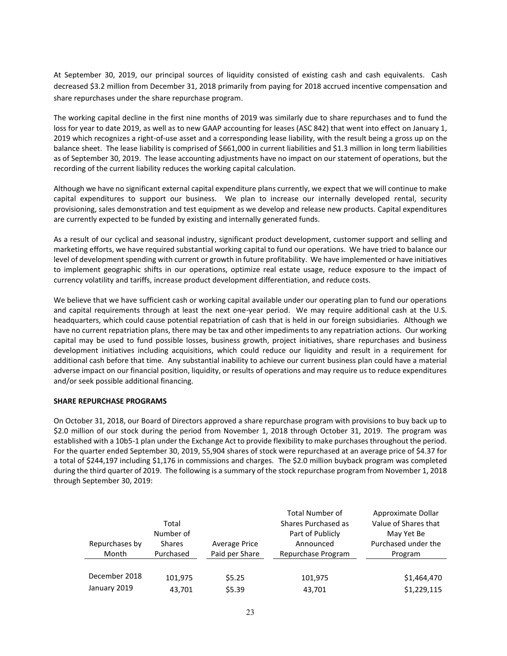At September 30, 2019, our principal sources of liquidity consisted of existing cash and cash equivalents. Cash decreased \$3.2 million from December 31, 2018 primarily from paying for 2018 accrued incentive compensation and share repurchases under the share repurchase program.

The working capital decline in the first nine months of 2019 was similarly due to share repurchases and to fund the loss for year to date 2019, as well as to new GAAP accounting for leases (ASC 842) that went into effect on January 1, 2019 which recognizes a right-of-use asset and a corresponding lease liability, with the result being a gross up on the balance sheet. The lease liability is comprised of \$661,000 in current liabilities and \$1.3 million in long term liabilities as of September 30, 2019. The lease accounting adjustments have no impact on our statement of operations, but the recording of the current liability reduces the working capital calculation.

Although we have no significant external capital expenditure plans currently, we expect that we will continue to make capital expenditures to support our business. We plan to increase our internally developed rental, security provisioning, sales demonstration and test equipment as we develop and release new products. Capital expenditures are currently expected to be funded by existing and internally generated funds.

As a result of our cyclical and seasonal industry, significant product development, customer support and selling and marketing efforts, we have required substantial working capital to fund our operations. We have tried to balance our level of development spending with current or growth in future profitability. We have implemented or have initiatives to implement geographic shifts in our operations, optimize real estate usage, reduce exposure to the impact of currency volatility and tariffs, increase product development differentiation, and reduce costs.

We believe that we have sufficient cash or working capital available under our operating plan to fund our operations and capital requirements through at least the next one-year period. We may require additional cash at the U.S. headquarters, which could cause potential repatriation of cash that is held in our foreign subsidiaries. Although we have no current repatriation plans, there may be tax and other impediments to any repatriation actions. Our working capital may be used to fund possible losses, business growth, project initiatives, share repurchases and business development initiatives including acquisitions, which could reduce our liquidity and result in a requirement for additional cash before that time. Any substantial inability to achieve our current business plan could have a material adverse impact on our financial position, liquidity, or results of operations and may require us to reduce expenditures and/or seek possible additional financing.

# **SHARE REPURCHASE PROGRAMS**

On October 31, 2018, our Board of Directors approved a share repurchase program with provisions to buy back up to \$2.0 million of our stock during the period from November 1, 2018 through October 31, 2019. The program was established with a 10b5-1 plan under the Exchange Act to provide flexibility to make purchases throughout the period. For the quarter ended September 30, 2019, 55,904 shares of stock were repurchased at an average price of \$4.37 for a total of \$244,197 including \$1,176 in commissions and charges. The \$2.0 million buyback program was completed during the third quarter of 2019. The following is a summary of the stock repurchase program from November 1, 2018 through September 30, 2019:

| Repurchases by<br>Month | Total<br>Number of<br><b>Shares</b><br>Purchased | <b>Average Price</b><br>Paid per Share | <b>Total Number of</b><br>Shares Purchased as<br>Part of Publicly<br>Announced<br>Repurchase Program | Approximate Dollar<br>Value of Shares that<br>May Yet Be<br>Purchased under the<br>Program |
|-------------------------|--------------------------------------------------|----------------------------------------|------------------------------------------------------------------------------------------------------|--------------------------------------------------------------------------------------------|
|                         |                                                  |                                        |                                                                                                      |                                                                                            |
| December 2018           | 101,975                                          | \$5.25                                 | 101,975                                                                                              | \$1,464,470                                                                                |
| January 2019            | 43,701                                           | \$5.39                                 | 43,701                                                                                               | \$1,229,115                                                                                |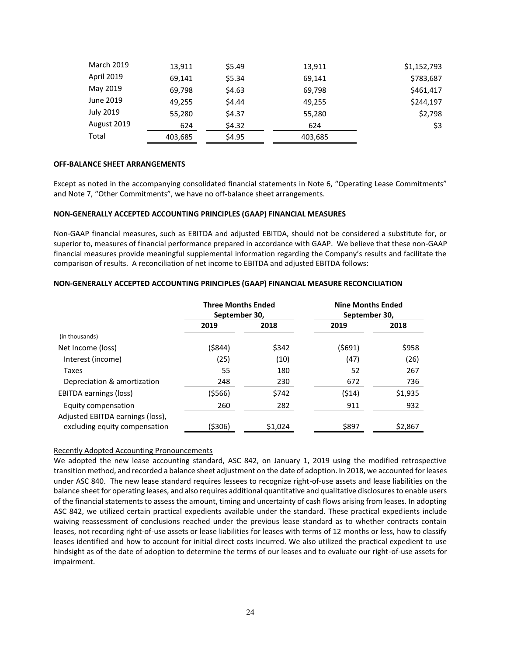| 13,911  | \$5.49 | 13,911  | \$1,152,793 |
|---------|--------|---------|-------------|
| 69,141  | \$5.34 | 69,141  | \$783,687   |
| 69,798  | \$4.63 | 69,798  | \$461,417   |
| 49,255  | \$4.44 | 49,255  | \$244,197   |
| 55,280  | \$4.37 | 55,280  | \$2,798     |
| 624     | \$4.32 | 624     | \$3         |
| 403,685 | \$4.95 | 403,685 |             |
|         |        |         |             |

#### **OFF-BALANCE SHEET ARRANGEMENTS**

Except as noted in the accompanying consolidated financial statements in Note 6, "Operating Lease Commitments" and Note 7, "Other Commitments", we have no off-balance sheet arrangements.

#### **NON-GENERALLY ACCEPTED ACCOUNTING PRINCIPLES (GAAP) FINANCIAL MEASURES**

Non-GAAP financial measures, such as EBITDA and adjusted EBITDA, should not be considered a substitute for, or superior to, measures of financial performance prepared in accordance with GAAP. We believe that these non-GAAP financial measures provide meaningful supplemental information regarding the Company's results and facilitate the comparison of results. A reconciliation of net income to EBITDA and adjusted EBITDA follows:

|                                  | <b>Three Months Ended</b><br>September 30, |         | <b>Nine Months Ended</b><br>September 30, |         |
|----------------------------------|--------------------------------------------|---------|-------------------------------------------|---------|
|                                  | 2019                                       | 2018    | 2019                                      | 2018    |
| (in thousands)                   |                                            |         |                                           |         |
| Net Income (loss)                | (\$844)                                    | \$342   | (5691)                                    | \$958   |
| Interest (income)                | (25)                                       | (10)    | (47)                                      | (26)    |
| Taxes                            | 55                                         | 180     | 52                                        | 267     |
| Depreciation & amortization      | 248                                        | 230     | 672                                       | 736     |
| <b>EBITDA earnings (loss)</b>    | (5566)                                     | \$742   | (514)                                     | \$1,935 |
| Equity compensation              | 260                                        | 282     | 911                                       | 932     |
| Adjusted EBITDA earnings (loss), |                                            |         |                                           |         |
| excluding equity compensation    | (\$306)                                    | \$1,024 | \$897                                     | \$2,867 |

#### **NON-GENERALLY ACCEPTED ACCOUNTING PRINCIPLES (GAAP) FINANCIAL MEASURE RECONCILIATION**

#### Recently Adopted Accounting Pronouncements

We adopted the new lease accounting standard, ASC 842, on January 1, 2019 using the modified retrospective transition method, and recorded a balance sheet adjustment on the date of adoption. In 2018, we accounted for leases under ASC 840. The new lease standard requires lessees to recognize right-of-use assets and lease liabilities on the balance sheet for operating leases, and also requires additional quantitative and qualitative disclosures to enable users of the financial statements to assess the amount, timing and uncertainty of cash flows arising from leases. In adopting ASC 842, we utilized certain practical expedients available under the standard. These practical expedients include waiving reassessment of conclusions reached under the previous lease standard as to whether contracts contain leases, not recording right-of-use assets or lease liabilities for leases with terms of 12 months or less, how to classify leases identified and how to account for initial direct costs incurred. We also utilized the practical expedient to use hindsight as of the date of adoption to determine the terms of our leases and to evaluate our right-of-use assets for impairment.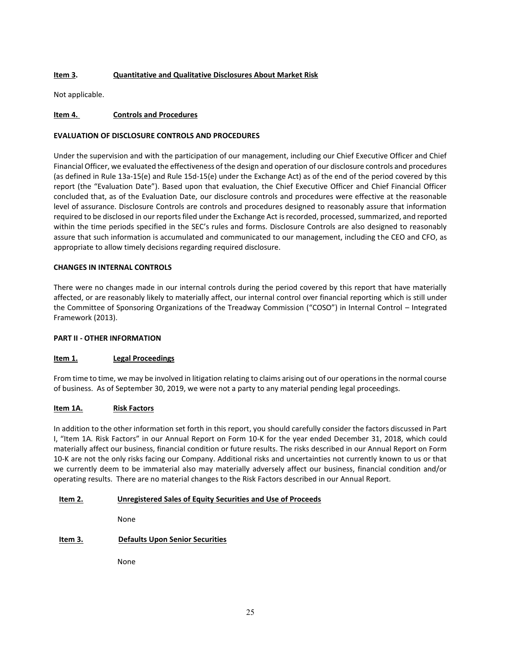# **Item 3. Quantitative and Qualitative Disclosures About Market Risk**

Not applicable.

# **Item 4. Controls and Procedures**

# **EVALUATION OF DISCLOSURE CONTROLS AND PROCEDURES**

Under the supervision and with the participation of our management, including our Chief Executive Officer and Chief Financial Officer, we evaluated the effectiveness of the design and operation of our disclosure controls and procedures (as defined in Rule 13a-15(e) and Rule 15d-15(e) under the Exchange Act) as of the end of the period covered by this report (the "Evaluation Date"). Based upon that evaluation, the Chief Executive Officer and Chief Financial Officer concluded that, as of the Evaluation Date, our disclosure controls and procedures were effective at the reasonable level of assurance. Disclosure Controls are controls and procedures designed to reasonably assure that information required to be disclosed in our reports filed under the Exchange Act is recorded, processed, summarized, and reported within the time periods specified in the SEC's rules and forms. Disclosure Controls are also designed to reasonably assure that such information is accumulated and communicated to our management, including the CEO and CFO, as appropriate to allow timely decisions regarding required disclosure.

# **CHANGES IN INTERNAL CONTROLS**

There were no changes made in our internal controls during the period covered by this report that have materially affected, or are reasonably likely to materially affect, our internal control over financial reporting which is still under the Committee of Sponsoring Organizations of the Treadway Commission ("COSO") in Internal Control – Integrated Framework (2013).

# **PART II - OTHER INFORMATION**

# **Item 1. Legal Proceedings**

From time to time, we may be involved in litigation relating to claims arising out of our operations in the normal course of business. As of September 30, 2019, we were not a party to any material pending legal proceedings.

# **Item 1A. Risk Factors**

In addition to the other information set forth in this report, you should carefully consider the factors discussed in Part I, "Item 1A. Risk Factors" in our Annual Report on Form 10-K for the year ended December 31, 2018, which could materially affect our business, financial condition or future results. The risks described in our Annual Report on Form 10-K are not the only risks facing our Company. Additional risks and uncertainties not currently known to us or that we currently deem to be immaterial also may materially adversely affect our business, financial condition and/or operating results. There are no material changes to the Risk Factors described in our Annual Report.

# **Item 2. Unregistered Sales of Equity Securities and Use of Proceeds**

None

# **Item 3. Defaults Upon Senior Securities**

None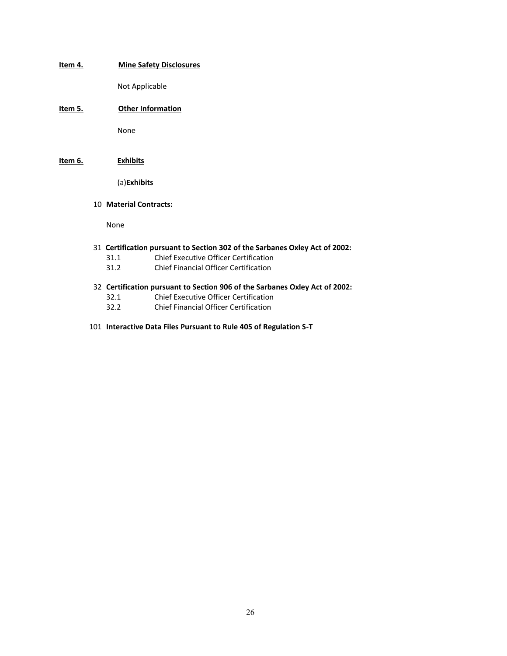**Item 4. Mine Safety Disclosures**

Not Applicable

**Item 5. Other Information**

None

**Item 6. Exhibits**

(a)**Exhibits**

10 **Material Contracts:**

None

- 31 **Certification pursuant to Section 302 of the Sarbanes Oxley Act of 2002:**
	- 31.1 Chief Executive Officer Certification
	- 31.2 Chief Financial Officer Certification
- 32 **Certification pursuant to Section 906 of the Sarbanes Oxley Act of 2002:**
	- 32.1 Chief Executive Officer Certification
	- 32.2 Chief Financial Officer Certification
- 101 **Interactive Data Files Pursuant to Rule 405 of Regulation S-T**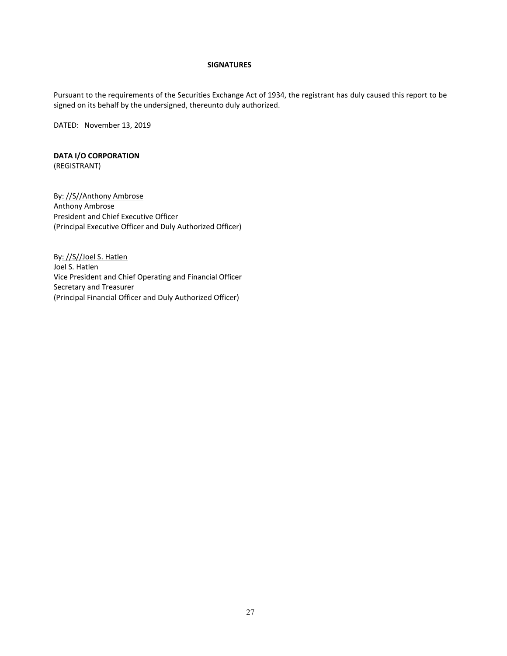## **SIGNATURES**

Pursuant to the requirements of the Securities Exchange Act of 1934, the registrant has duly caused this report to be signed on its behalf by the undersigned, thereunto duly authorized.

DATED: November 13, 2019

# **DATA I/O CORPORATION** (REGISTRANT)

By: //S//Anthony Ambrose Anthony Ambrose President and Chief Executive Officer (Principal Executive Officer and Duly Authorized Officer)

By: //S//Joel S. Hatlen Joel S. Hatlen Vice President and Chief Operating and Financial Officer Secretary and Treasurer (Principal Financial Officer and Duly Authorized Officer)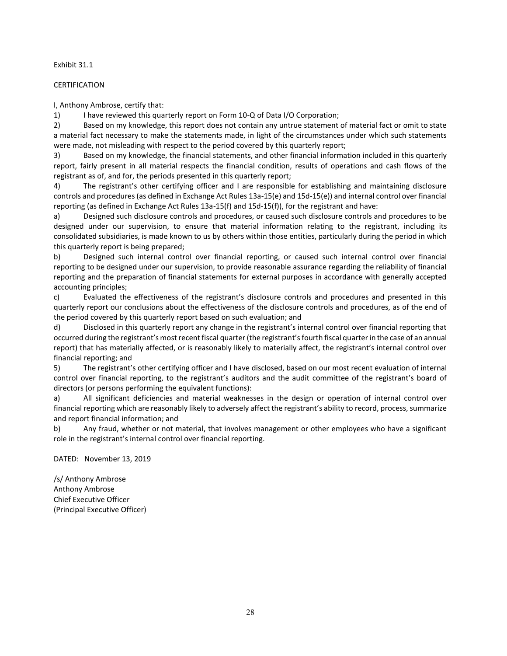#### Exhibit 31.1

### CERTIFICATION

I, Anthony Ambrose, certify that:

1) I have reviewed this quarterly report on Form 10-Q of Data I/O Corporation;

2) Based on my knowledge, this report does not contain any untrue statement of material fact or omit to state a material fact necessary to make the statements made, in light of the circumstances under which such statements were made, not misleading with respect to the period covered by this quarterly report;

3) Based on my knowledge, the financial statements, and other financial information included in this quarterly report, fairly present in all material respects the financial condition, results of operations and cash flows of the registrant as of, and for, the periods presented in this quarterly report;

4) The registrant's other certifying officer and I are responsible for establishing and maintaining disclosure controls and procedures (as defined in Exchange Act Rules 13a-15(e) and 15d-15(e)) and internal control over financial reporting (as defined in Exchange Act Rules 13a-15(f) and 15d-15(f)), for the registrant and have:

a) Designed such disclosure controls and procedures, or caused such disclosure controls and procedures to be designed under our supervision, to ensure that material information relating to the registrant, including its consolidated subsidiaries, is made known to us by others within those entities, particularly during the period in which this quarterly report is being prepared;

b) Designed such internal control over financial reporting, or caused such internal control over financial reporting to be designed under our supervision, to provide reasonable assurance regarding the reliability of financial reporting and the preparation of financial statements for external purposes in accordance with generally accepted accounting principles;

c) Evaluated the effectiveness of the registrant's disclosure controls and procedures and presented in this quarterly report our conclusions about the effectiveness of the disclosure controls and procedures, as of the end of the period covered by this quarterly report based on such evaluation; and

d) Disclosed in this quarterly report any change in the registrant's internal control over financial reporting that occurred during the registrant's most recent fiscal quarter (the registrant's fourth fiscal quarter in the case of an annual report) that has materially affected, or is reasonably likely to materially affect, the registrant's internal control over financial reporting; and

5) The registrant's other certifying officer and I have disclosed, based on our most recent evaluation of internal control over financial reporting, to the registrant's auditors and the audit committee of the registrant's board of directors (or persons performing the equivalent functions):

a) All significant deficiencies and material weaknesses in the design or operation of internal control over financial reporting which are reasonably likely to adversely affect the registrant's ability to record, process, summarize and report financial information; and

b) Any fraud, whether or not material, that involves management or other employees who have a significant role in the registrant's internal control over financial reporting.

DATED: November 13, 2019

/s/ Anthony Ambrose Anthony Ambrose Chief Executive Officer (Principal Executive Officer)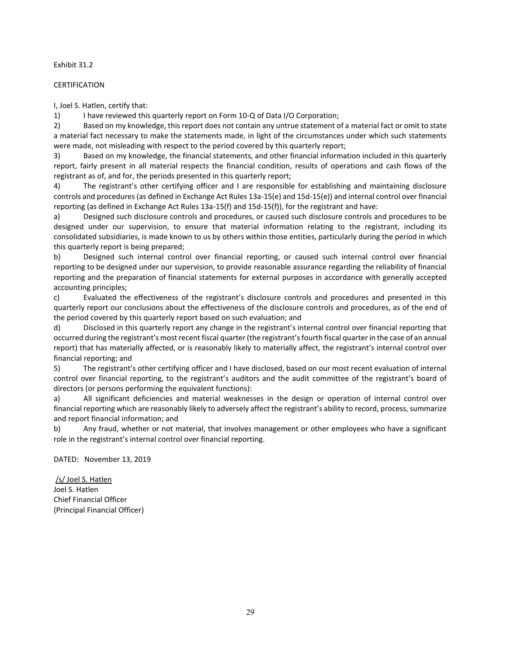#### Exhibit 31.2

### CERTIFICATION

I, Joel S. Hatlen, certify that:

1) I have reviewed this quarterly report on Form 10-Q of Data I/O Corporation;

2) Based on my knowledge, this report does not contain any untrue statement of a material fact or omit to state a material fact necessary to make the statements made, in light of the circumstances under which such statements were made, not misleading with respect to the period covered by this quarterly report;

3) Based on my knowledge, the financial statements, and other financial information included in this quarterly report, fairly present in all material respects the financial condition, results of operations and cash flows of the registrant as of, and for, the periods presented in this quarterly report;

4) The registrant's other certifying officer and I are responsible for establishing and maintaining disclosure controls and procedures (as defined in Exchange Act Rules 13a-15(e) and 15d-15(e)) and internal control over financial reporting (as defined in Exchange Act Rules 13a-15(f) and 15d-15(f)), for the registrant and have:

a) Designed such disclosure controls and procedures, or caused such disclosure controls and procedures to be designed under our supervision, to ensure that material information relating to the registrant, including its consolidated subsidiaries, is made known to us by others within those entities, particularly during the period in which this quarterly report is being prepared;

b) Designed such internal control over financial reporting, or caused such internal control over financial reporting to be designed under our supervision, to provide reasonable assurance regarding the reliability of financial reporting and the preparation of financial statements for external purposes in accordance with generally accepted accounting principles;

c) Evaluated the effectiveness of the registrant's disclosure controls and procedures and presented in this quarterly report our conclusions about the effectiveness of the disclosure controls and procedures, as of the end of the period covered by this quarterly report based on such evaluation; and

d) Disclosed in this quarterly report any change in the registrant's internal control over financial reporting that occurred during the registrant's most recent fiscal quarter (the registrant's fourth fiscal quarter in the case of an annual report) that has materially affected, or is reasonably likely to materially affect, the registrant's internal control over financial reporting; and

5) The registrant's other certifying officer and I have disclosed, based on our most recent evaluation of internal control over financial reporting, to the registrant's auditors and the audit committee of the registrant's board of directors (or persons performing the equivalent functions):

a) All significant deficiencies and material weaknesses in the design or operation of internal control over financial reporting which are reasonably likely to adversely affect the registrant's ability to record, process, summarize and report financial information; and

b) Any fraud, whether or not material, that involves management or other employees who have a significant role in the registrant's internal control over financial reporting.

DATED: November 13, 2019

/s/ Joel S. Hatlen Joel S. Hatlen Chief Financial Officer (Principal Financial Officer)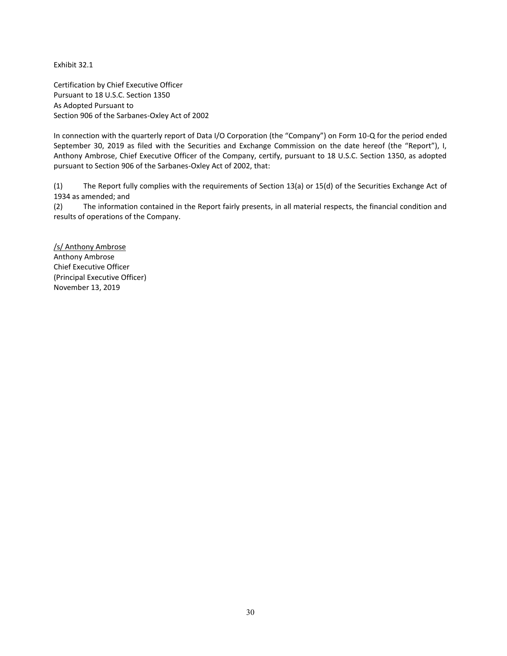Exhibit 32.1

Certification by Chief Executive Officer Pursuant to 18 U.S.C. Section 1350 As Adopted Pursuant to Section 906 of the Sarbanes-Oxley Act of 2002

In connection with the quarterly report of Data I/O Corporation (the "Company") on Form 10-Q for the period ended September 30, 2019 as filed with the Securities and Exchange Commission on the date hereof (the "Report"), I, Anthony Ambrose, Chief Executive Officer of the Company, certify, pursuant to 18 U.S.C. Section 1350, as adopted pursuant to Section 906 of the Sarbanes-Oxley Act of 2002, that:

(1) The Report fully complies with the requirements of Section 13(a) or 15(d) of the Securities Exchange Act of 1934 as amended; and

(2) The information contained in the Report fairly presents, in all material respects, the financial condition and results of operations of the Company.

/s/ Anthony Ambrose Anthony Ambrose Chief Executive Officer (Principal Executive Officer) November 13, 2019